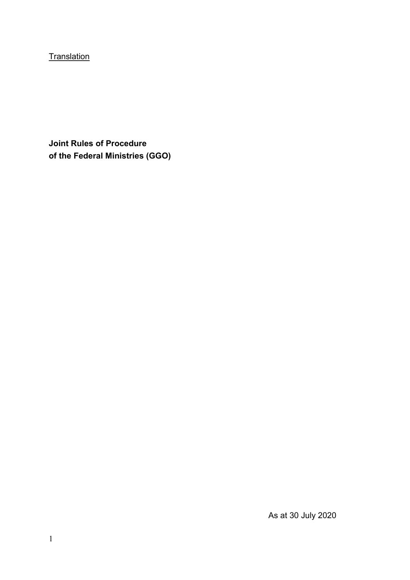**Translation** 

**Joint Rules of Procedure of the Federal Ministries (GGO)** 

As at 30 July 2020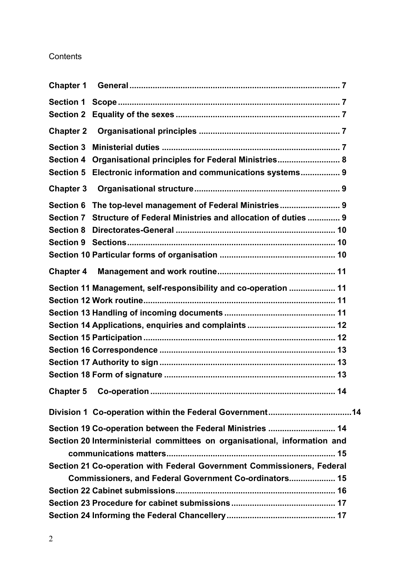# **Contents**

| <b>Chapter 1</b> |                                                                           |
|------------------|---------------------------------------------------------------------------|
|                  |                                                                           |
| <b>Section 2</b> |                                                                           |
| <b>Chapter 2</b> |                                                                           |
| <b>Section 3</b> |                                                                           |
| <b>Section 4</b> | Organisational principles for Federal Ministries 8                        |
| <b>Section 5</b> | Electronic information and communications systems 9                       |
| <b>Chapter 3</b> |                                                                           |
| <b>Section 6</b> | The top-level management of Federal Ministries 9                          |
| <b>Section 7</b> | Structure of Federal Ministries and allocation of duties  9               |
| <b>Section 8</b> |                                                                           |
|                  |                                                                           |
|                  |                                                                           |
| <b>Chapter 4</b> |                                                                           |
|                  | Section 11 Management, self-responsibility and co-operation  11           |
|                  |                                                                           |
|                  |                                                                           |
|                  |                                                                           |
|                  |                                                                           |
|                  |                                                                           |
|                  |                                                                           |
|                  |                                                                           |
|                  |                                                                           |
|                  | Division 1 Co-operation within the Federal Government14                   |
|                  | Section 19 Co-operation between the Federal Ministries  14                |
|                  | Section 20 Interministerial committees on organisational, information and |
|                  |                                                                           |
|                  | Section 21 Co-operation with Federal Government Commissioners, Federal    |
|                  | Commissioners, and Federal Government Co-ordinators 15                    |
|                  |                                                                           |
|                  |                                                                           |
|                  |                                                                           |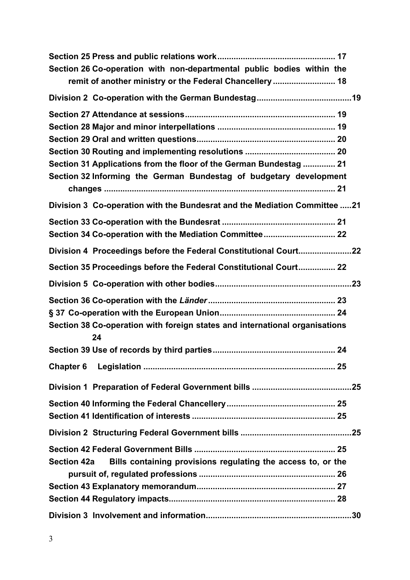| Section 26 Co-operation with non-departmental public bodies within the             |  |
|------------------------------------------------------------------------------------|--|
| remit of another ministry or the Federal Chancellery  18                           |  |
|                                                                                    |  |
|                                                                                    |  |
|                                                                                    |  |
|                                                                                    |  |
|                                                                                    |  |
| Section 31 Applications from the floor of the German Bundestag  21                 |  |
| Section 32 Informing the German Bundestag of budgetary development                 |  |
|                                                                                    |  |
| Division 3 Co-operation with the Bundesrat and the Mediation Committee 21          |  |
|                                                                                    |  |
|                                                                                    |  |
| Division 4 Proceedings before the Federal Constitutional Court22                   |  |
| Section 35 Proceedings before the Federal Constitutional Court 22                  |  |
|                                                                                    |  |
|                                                                                    |  |
|                                                                                    |  |
| Section 38 Co-operation with foreign states and international organisations<br>24  |  |
|                                                                                    |  |
|                                                                                    |  |
|                                                                                    |  |
|                                                                                    |  |
|                                                                                    |  |
|                                                                                    |  |
|                                                                                    |  |
| Bills containing provisions regulating the access to, or the<br><b>Section 42a</b> |  |
|                                                                                    |  |
|                                                                                    |  |
|                                                                                    |  |
|                                                                                    |  |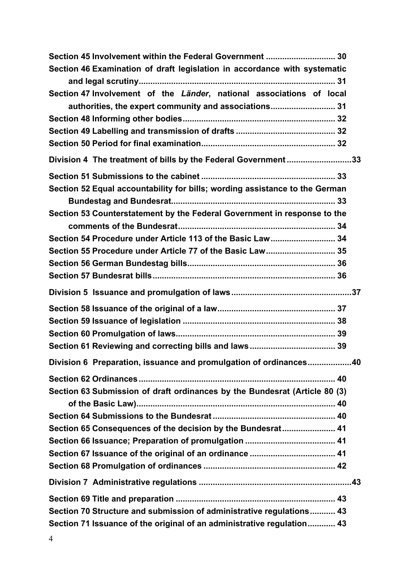| Section 45 Involvement within the Federal Government  30                    |  |
|-----------------------------------------------------------------------------|--|
| Section 46 Examination of draft legislation in accordance with systematic   |  |
|                                                                             |  |
| Section 47 Involvement of the Länder, national associations of local        |  |
| authorities, the expert community and associations 31                       |  |
|                                                                             |  |
|                                                                             |  |
|                                                                             |  |
| Division 4 The treatment of bills by the Federal Government33               |  |
|                                                                             |  |
| Section 52 Equal accountability for bills; wording assistance to the German |  |
|                                                                             |  |
| Section 53 Counterstatement by the Federal Government in response to the    |  |
|                                                                             |  |
| Section 54 Procedure under Article 113 of the Basic Law 34                  |  |
| Section 55 Procedure under Article 77 of the Basic Law 35                   |  |
|                                                                             |  |
|                                                                             |  |
|                                                                             |  |
|                                                                             |  |
|                                                                             |  |
|                                                                             |  |
|                                                                             |  |
| Division 6 Preparation, issuance and promulgation of ordinances40           |  |
|                                                                             |  |
| Section 63 Submission of draft ordinances by the Bundesrat (Article 80 (3)  |  |
|                                                                             |  |
|                                                                             |  |
| Section 65 Consequences of the decision by the Bundesrat 41                 |  |
|                                                                             |  |
|                                                                             |  |
|                                                                             |  |
|                                                                             |  |
|                                                                             |  |
| Section 70 Structure and submission of administrative regulations 43        |  |
| Section 71 Issuance of the original of an administrative regulation 43      |  |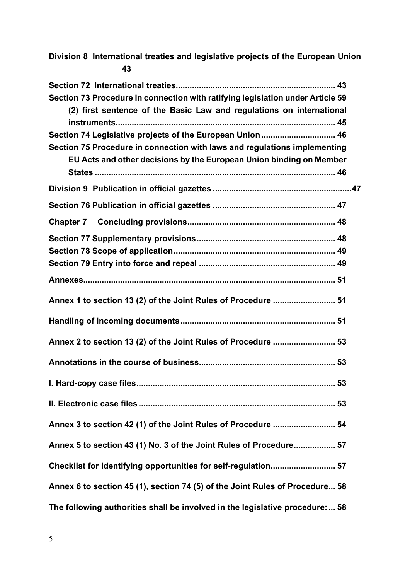**[Section 72 International treaties ..................................................................... 43](#page-42-0) Section 73 Procedure in connection with ratifying legislation under Article 59 [\(2\) first sentence of the Basic Law and regulations on international](#page-44-0)  instruments............................................................................................... 45 Section 74 [Legislative projects of the European Union ................................ 46](#page-45-0) Section 75 Procedure in connection with laws and regulations implementing [EU Acts and other decisions by the European Union binding on Member](#page-45-0)  States ........................................................................................................ 46 Division 9 [Publication in official gazettes ...........................................................](#page-46-0). 47 Section 76 [Publication in official gazettes ..................................................... 47](#page-46-0) Chapter 7 [Concluding provisions ................................................................ 48](#page-47-0) Section 77 [Supplementary provisions ............................................................ 48](#page-47-0) Section 78 [Scope of application ...................................................................... 49](#page-48-0) Section 79 [Entry into force and repeal ........................................................... 49](#page-48-0) [Annexes............................................................................................................. 51](#page-50-0) [Annex 1 to section 13 \(2\) of the Joint Rules of Procedure ........................... 51](#page-50-0) [Handling of incoming documents ................................................................... 51](#page-50-0) [Annex 2 to section 13 \(2\) of the Joint Rules of Procedure ........................... 53](#page-52-0) [Annotations in the course of business........................................................... 53](#page-52-0) [I. Hard-copy case files ...................................................................................... 53](#page-52-0) [II. Electronic case files ..................................................................................... 53](#page-52-0) [Annex 3 to section 42 \(1\) of the Joint Rules of Procedure ........................... 54](#page-53-0) [Annex 5 to section 43 \(1\) No. 3 of the Joint Rules of Procedure .................. 57](#page-56-0) [Checklist for identifying opportunities for self-regulation ............................ 57](#page-56-0) [Annex 6 to section 45 \(1\), section 74 \(5\) of the Joint Rules of Procedure ... 58](#page-57-0) [The following authorities shall be involved in the legislative procedure: ... 58](#page-57-0)**

**Division 8 [International treaties and legislative projects of the European Un](#page-42-0)ion**

**43**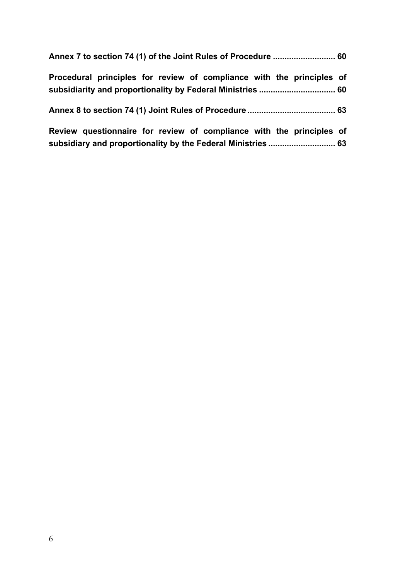| Procedural principles for review of compliance with the principles of                                                                |  |
|--------------------------------------------------------------------------------------------------------------------------------------|--|
|                                                                                                                                      |  |
| Review questionnaire for review of compliance with the principles of<br>subsidiary and proportionality by the Federal Ministries  63 |  |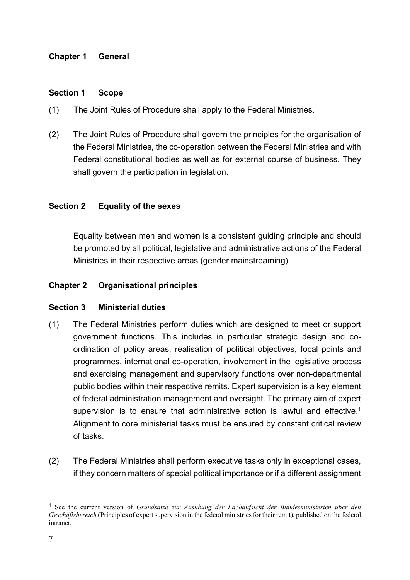### <span id="page-6-0"></span>**Chapter 1 General**

#### **Section 1 Scope**

- (1) The Joint Rules of Procedure shall apply to the Federal Ministries.
- (2) The Joint Rules of Procedure shall govern the principles for the organisation of the Federal Ministries, the co-operation between the Federal Ministries and with Federal constitutional bodies as well as for external course of business. They shall govern the participation in legislation.

#### **Section 2 Equality of the sexes**

Equality between men and women is a consistent guiding principle and should be promoted by all political, legislative and administrative actions of the Federal Ministries in their respective areas (gender mainstreaming).

#### **Chapter 2 Organisational principles**

#### **Section 3 Ministerial duties**

- (1) The Federal Ministries perform duties which are designed to meet or support government functions. This includes in particular strategic design and coordination of policy areas, realisation of political objectives, focal points and programmes, international co-operation, involvement in the legislative process and exercising management and supervisory functions over non-departmental public bodies within their respective remits. Expert supervision is a key element of federal administration management and oversight. The primary aim of expert supervision is to ensure that administrative action is lawful and effective.<sup>[1](#page-6-1)</sup> Alignment to core ministerial tasks must be ensured by constant critical review of tasks.
- <span id="page-6-2"></span>(2) The Federal Ministries shall perform executive tasks only in exceptional cases, if they concern matters of special political importance or if a different assignment

<span id="page-6-1"></span>[<sup>1</sup>](#page-6-2) See the current version of *Grundsätze zur Ausübung der Fachaufsicht der Bundesministerien über den Geschäftsbereich* (Principles of expert supervision in the federal ministries for their remit), published on the federal intranet.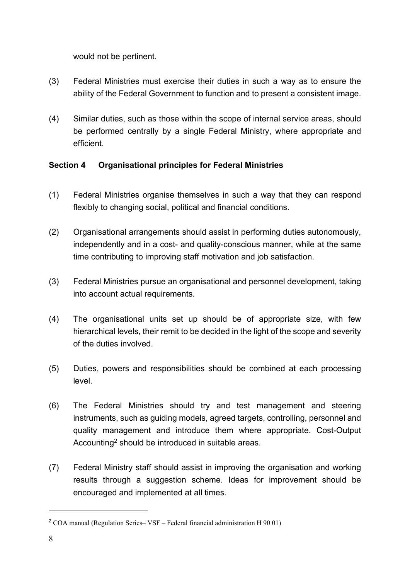<span id="page-7-0"></span>would not be pertinent.

- (3) Federal Ministries must exercise their duties in such a way as to ensure the ability of the Federal Government to function and to present a consistent image.
- (4) Similar duties, such as those within the scope of internal service areas, should be performed centrally by a single Federal Ministry, where appropriate and efficient.

# **Section 4 Organisational principles for Federal Ministries**

- (1) Federal Ministries organise themselves in such a way that they can respond flexibly to changing social, political and financial conditions.
- (2) Organisational arrangements should assist in performing duties autonomously, independently and in a cost- and quality-conscious manner, while at the same time contributing to improving staff motivation and job satisfaction.
- (3) Federal Ministries pursue an organisational and personnel development, taking into account actual requirements.
- (4) The organisational units set up should be of appropriate size, with few hierarchical levels, their remit to be decided in the light of the scope and severity of the duties involved.
- (5) Duties, powers and responsibilities should be combined at each processing level.
- (6) The Federal Ministries should try and test management and steering instruments, such as guiding models, agreed targets, controlling, personnel and quality management and introduce them where appropriate. Cost-Output Accounting<sup>[2](#page-7-1)</sup> should be introduced in suitable areas.
- <span id="page-7-2"></span>(7) Federal Ministry staff should assist in improving the organisation and working results through a suggestion scheme. Ideas for improvement should be encouraged and implemented at all times.

<span id="page-7-1"></span> $2$  COA manual (Regulation Series– VSF – Federal financial administration H 90 01)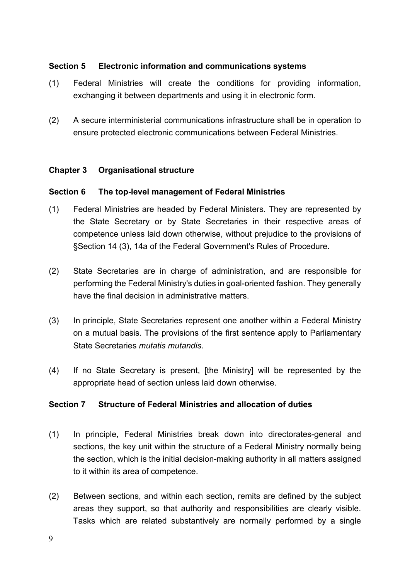### <span id="page-8-0"></span>**Section 5 Electronic information and communications systems**

- (1) Federal Ministries will create the conditions for providing information, exchanging it between departments and using it in electronic form.
- (2) A secure interministerial communications infrastructure shall be in operation to ensure protected electronic communications between Federal Ministries.

### **Chapter 3 Organisational structure**

# **Section 6 The top-level management of Federal Ministries**

- (1) Federal Ministries are headed by Federal Ministers. They are represented by the State Secretary or by State Secretaries in their respective areas of competence unless laid down otherwise, without prejudice to the provisions of §Section 14 (3), 14a of the Federal Government's Rules of Procedure.
- (2) State Secretaries are in charge of administration, and are responsible for performing the Federal Ministry's duties in goal-oriented fashion. They generally have the final decision in administrative matters.
- (3) In principle, State Secretaries represent one another within a Federal Ministry on a mutual basis. The provisions of the first sentence apply to Parliamentary State Secretaries *mutatis mutandis*.
- (4) If no State Secretary is present, [the Ministry] will be represented by the appropriate head of section unless laid down otherwise.

# **Section 7 Structure of Federal Ministries and allocation of duties**

- (1) In principle, Federal Ministries break down into directorates-general and sections, the key unit within the structure of a Federal Ministry normally being the section, which is the initial decision-making authority in all matters assigned to it within its area of competence.
- (2) Between sections, and within each section, remits are defined by the subject areas they support, so that authority and responsibilities are clearly visible. Tasks which are related substantively are normally performed by a single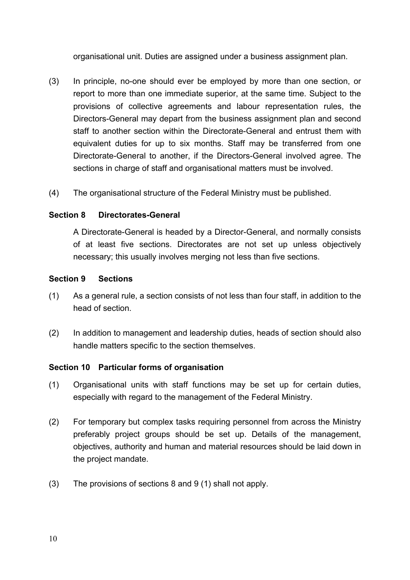<span id="page-9-0"></span>organisational unit. Duties are assigned under a business assignment plan.

- (3) In principle, no-one should ever be employed by more than one section, or report to more than one immediate superior, at the same time. Subject to the provisions of collective agreements and labour representation rules, the Directors-General may depart from the business assignment plan and second staff to another section within the Directorate-General and entrust them with equivalent duties for up to six months. Staff may be transferred from one Directorate-General to another, if the Directors-General involved agree. The sections in charge of staff and organisational matters must be involved.
- (4) The organisational structure of the Federal Ministry must be published.

# **Section 8 Directorates-General**

 A Directorate-General is headed by a Director-General, and normally consists of at least five sections. Directorates are not set up unless objectively necessary; this usually involves merging not less than five sections.

# **Section 9 Sections**

- (1) As a general rule, a section consists of not less than four staff, in addition to the head of section.
- (2) In addition to management and leadership duties, heads of section should also handle matters specific to the section themselves.

# **Section 10 Particular forms of organisation**

- (1) Organisational units with staff functions may be set up for certain duties, especially with regard to the management of the Federal Ministry.
- (2) For temporary but complex tasks requiring personnel from across the Ministry preferably project groups should be set up. Details of the management, objectives, authority and human and material resources should be laid down in the project mandate.
- (3) The provisions of sections 8 and 9 (1) shall not apply.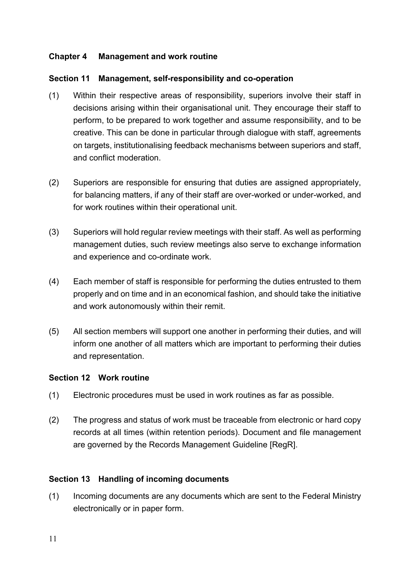## <span id="page-10-0"></span>**Chapter 4 Management and work routine**

#### **Section 11 Management, self-responsibility and co-operation**

- (1) Within their respective areas of responsibility, superiors involve their staff in decisions arising within their organisational unit. They encourage their staff to perform, to be prepared to work together and assume responsibility, and to be creative. This can be done in particular through dialogue with staff, agreements on targets, institutionalising feedback mechanisms between superiors and staff, and conflict moderation.
- (2) Superiors are responsible for ensuring that duties are assigned appropriately, for balancing matters, if any of their staff are over-worked or under-worked, and for work routines within their operational unit.
- (3) Superiors will hold regular review meetings with their staff. As well as performing management duties, such review meetings also serve to exchange information and experience and co-ordinate work.
- (4) Each member of staff is responsible for performing the duties entrusted to them properly and on time and in an economical fashion, and should take the initiative and work autonomously within their remit.
- (5) All section members will support one another in performing their duties, and will inform one another of all matters which are important to performing their duties and representation.

#### **Section 12 Work routine**

- (1) Electronic procedures must be used in work routines as far as possible.
- (2) The progress and status of work must be traceable from electronic or hard copy records at all times (within retention periods). Document and file management are governed by the Records Management Guideline [RegR].

#### **Section 13 Handling of incoming documents**

(1) Incoming documents are any documents which are sent to the Federal Ministry electronically or in paper form.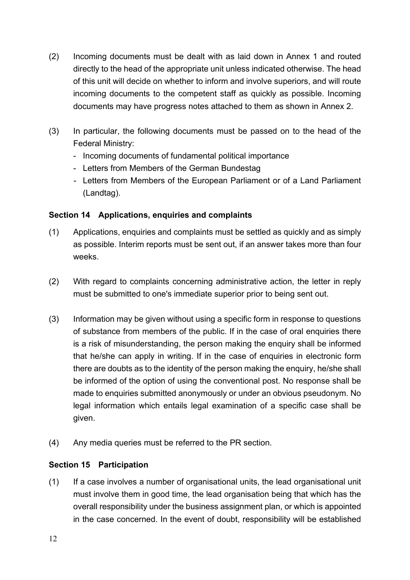- <span id="page-11-0"></span>(2) Incoming documents must be dealt with as laid down in Annex 1 and routed directly to the head of the appropriate unit unless indicated otherwise. The head of this unit will decide on whether to inform and involve superiors, and will route incoming documents to the competent staff as quickly as possible. Incoming documents may have progress notes attached to them as shown in Annex 2.
- (3) In particular, the following documents must be passed on to the head of the Federal Ministry:
	- Incoming documents of fundamental political importance
	- Letters from Members of the German Bundestag
	- Letters from Members of the European Parliament or of a Land Parliament (Landtag).

# **Section 14 Applications, enquiries and complaints**

- (1) Applications, enquiries and complaints must be settled as quickly and as simply as possible. Interim reports must be sent out, if an answer takes more than four weeks.
- (2) With regard to complaints concerning administrative action, the letter in reply must be submitted to one's immediate superior prior to being sent out.
- (3) Information may be given without using a specific form in response to questions of substance from members of the public. If in the case of oral enquiries there is a risk of misunderstanding, the person making the enquiry shall be informed that he/she can apply in writing. If in the case of enquiries in electronic form there are doubts as to the identity of the person making the enquiry, he/she shall be informed of the option of using the conventional post. No response shall be made to enquiries submitted anonymously or under an obvious pseudonym. No legal information which entails legal examination of a specific case shall be given.
- (4) Any media queries must be referred to the PR section.

### **Section 15 Participation**

(1) If a case involves a number of organisational units, the lead organisational unit must involve them in good time, the lead organisation being that which has the overall responsibility under the business assignment plan, or which is appointed in the case concerned. In the event of doubt, responsibility will be established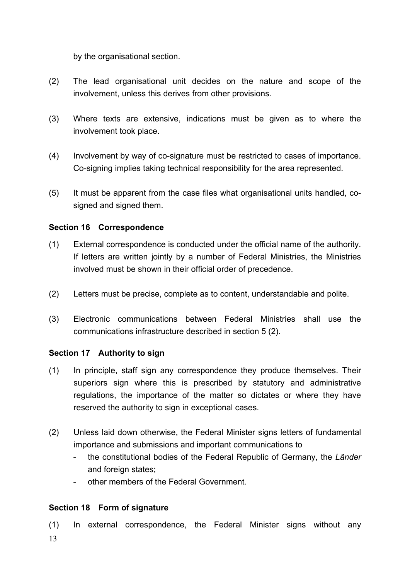<span id="page-12-0"></span>by the organisational section.

- (2) The lead organisational unit decides on the nature and scope of the involvement, unless this derives from other provisions.
- (3) Where texts are extensive, indications must be given as to where the involvement took place.
- (4) Involvement by way of co-signature must be restricted to cases of importance. Co-signing implies taking technical responsibility for the area represented.
- (5) It must be apparent from the case files what organisational units handled, cosigned and signed them.

### **Section 16 Correspondence**

- (1) External correspondence is conducted under the official name of the authority. If letters are written jointly by a number of Federal Ministries, the Ministries involved must be shown in their official order of precedence.
- (2) Letters must be precise, complete as to content, understandable and polite.
- (3) Electronic communications between Federal Ministries shall use the communications infrastructure described in section 5 (2).

### **Section 17 Authority to sign**

- (1) In principle, staff sign any correspondence they produce themselves. Their superiors sign where this is prescribed by statutory and administrative regulations, the importance of the matter so dictates or where they have reserved the authority to sign in exceptional cases.
- (2) Unless laid down otherwise, the Federal Minister signs letters of fundamental importance and submissions and important communications to
	- the constitutional bodies of the Federal Republic of Germany, the *Länder* and foreign states:
	- other members of the Federal Government.

# **Section 18 Form of signature**

13 (1) In external correspondence, the Federal Minister signs without any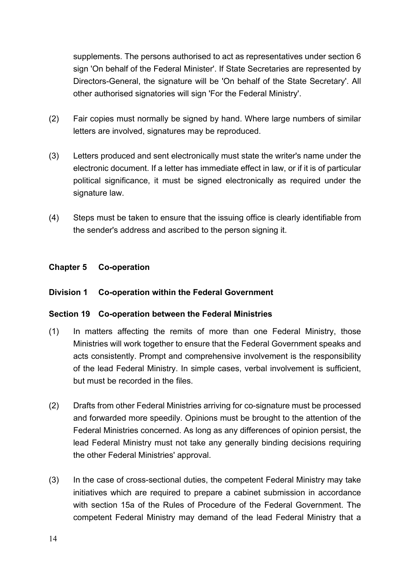<span id="page-13-0"></span>supplements. The persons authorised to act as representatives under section 6 sign 'On behalf of the Federal Minister'. If State Secretaries are represented by Directors-General, the signature will be 'On behalf of the State Secretary'. All other authorised signatories will sign 'For the Federal Ministry'.

- (2) Fair copies must normally be signed by hand. Where large numbers of similar letters are involved, signatures may be reproduced.
- (3) Letters produced and sent electronically must state the writer's name under the electronic document. If a letter has immediate effect in law, or if it is of particular political significance, it must be signed electronically as required under the signature law.
- (4) Steps must be taken to ensure that the issuing office is clearly identifiable from the sender's address and ascribed to the person signing it.

#### **Chapter 5 Co-operation**

#### **Division 1 Co-operation within the Federal Government**

#### **Section 19 Co-operation between the Federal Ministries**

- (1) In matters affecting the remits of more than one Federal Ministry, those Ministries will work together to ensure that the Federal Government speaks and acts consistently. Prompt and comprehensive involvement is the responsibility of the lead Federal Ministry. In simple cases, verbal involvement is sufficient, but must be recorded in the files.
- (2) Drafts from other Federal Ministries arriving for co-signature must be processed and forwarded more speedily. Opinions must be brought to the attention of the Federal Ministries concerned. As long as any differences of opinion persist, the lead Federal Ministry must not take any generally binding decisions requiring the other Federal Ministries' approval.
- (3) In the case of cross-sectional duties, the competent Federal Ministry may take initiatives which are required to prepare a cabinet submission in accordance with section 15a of the Rules of Procedure of the Federal Government. The competent Federal Ministry may demand of the lead Federal Ministry that a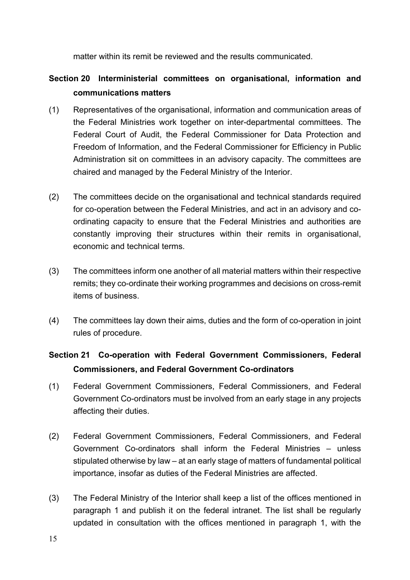matter within its remit be reviewed and the results communicated.

# <span id="page-14-0"></span>**Section 20 Interministerial committees on organisational, information and communications matters**

- (1) Representatives of the organisational, information and communication areas of the Federal Ministries work together on inter-departmental committees. The Federal Court of Audit, the Federal Commissioner for Data Protection and Freedom of Information, and the Federal Commissioner for Efficiency in Public Administration sit on committees in an advisory capacity. The committees are chaired and managed by the Federal Ministry of the Interior.
- (2) The committees decide on the organisational and technical standards required for co-operation between the Federal Ministries, and act in an advisory and coordinating capacity to ensure that the Federal Ministries and authorities are constantly improving their structures within their remits in organisational, economic and technical terms.
- (3) The committees inform one another of all material matters within their respective remits; they co-ordinate their working programmes and decisions on cross-remit items of business.
- (4) The committees lay down their aims, duties and the form of co-operation in joint rules of procedure.

# **Section 21 Co-operation with Federal Government Commissioners, Federal Commissioners, and Federal Government Co-ordinators**

- (1) Federal Government Commissioners, Federal Commissioners, and Federal Government Co-ordinators must be involved from an early stage in any projects affecting their duties.
- (2) Federal Government Commissioners, Federal Commissioners, and Federal Government Co-ordinators shall inform the Federal Ministries – unless stipulated otherwise by law – at an early stage of matters of fundamental political importance, insofar as duties of the Federal Ministries are affected.
- (3) The Federal Ministry of the Interior shall keep a list of the offices mentioned in paragraph 1 and publish it on the federal intranet. The list shall be regularly updated in consultation with the offices mentioned in paragraph 1, with the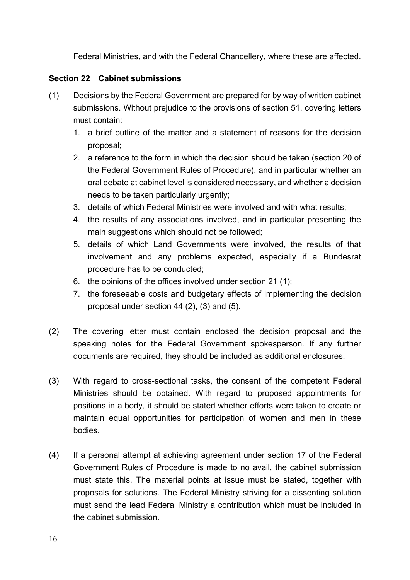Federal Ministries, and with the Federal Chancellery, where these are affected.

## <span id="page-15-0"></span>**Section 22 Cabinet submissions**

- (1) Decisions by the Federal Government are prepared for by way of written cabinet submissions. Without prejudice to the provisions of section 51, covering letters must contain:
	- 1. a brief outline of the matter and a statement of reasons for the decision proposal;
	- 2. a reference to the form in which the decision should be taken (section 20 of the Federal Government Rules of Procedure), and in particular whether an oral debate at cabinet level is considered necessary, and whether a decision needs to be taken particularly urgently;
	- 3. details of which Federal Ministries were involved and with what results;
	- 4. the results of any associations involved, and in particular presenting the main suggestions which should not be followed;
	- 5. details of which Land Governments were involved, the results of that involvement and any problems expected, especially if a Bundesrat procedure has to be conducted;
	- 6. the opinions of the offices involved under section 21 (1);
	- 7. the foreseeable costs and budgetary effects of implementing the decision proposal under section 44 (2), (3) and (5).
- (2) The covering letter must contain enclosed the decision proposal and the speaking notes for the Federal Government spokesperson. If any further documents are required, they should be included as additional enclosures.
- (3) With regard to cross-sectional tasks, the consent of the competent Federal Ministries should be obtained. With regard to proposed appointments for positions in a body, it should be stated whether efforts were taken to create or maintain equal opportunities for participation of women and men in these bodies.
- (4) If a personal attempt at achieving agreement under section 17 of the Federal Government Rules of Procedure is made to no avail, the cabinet submission must state this. The material points at issue must be stated, together with proposals for solutions. The Federal Ministry striving for a dissenting solution must send the lead Federal Ministry a contribution which must be included in the cabinet submission.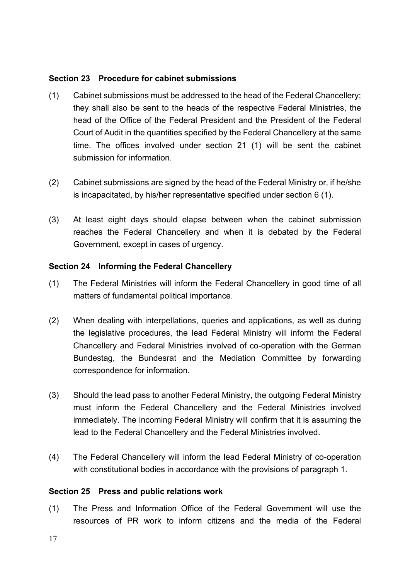#### <span id="page-16-0"></span>**Section 23 Procedure for cabinet submissions**

- (1) Cabinet submissions must be addressed to the head of the Federal Chancellery; they shall also be sent to the heads of the respective Federal Ministries, the head of the Office of the Federal President and the President of the Federal Court of Audit in the quantities specified by the Federal Chancellery at the same time. The offices involved under section 21 (1) will be sent the cabinet submission for information.
- (2) Cabinet submissions are signed by the head of the Federal Ministry or, if he/she is incapacitated, by his/her representative specified under section 6 (1).
- (3) At least eight days should elapse between when the cabinet submission reaches the Federal Chancellery and when it is debated by the Federal Government, except in cases of urgency.

#### **Section 24 Informing the Federal Chancellery**

- (1) The Federal Ministries will inform the Federal Chancellery in good time of all matters of fundamental political importance.
- (2) When dealing with interpellations, queries and applications, as well as during the legislative procedures, the lead Federal Ministry will inform the Federal Chancellery and Federal Ministries involved of co-operation with the German Bundestag, the Bundesrat and the Mediation Committee by forwarding correspondence for information.
- (3) Should the lead pass to another Federal Ministry, the outgoing Federal Ministry must inform the Federal Chancellery and the Federal Ministries involved immediately. The incoming Federal Ministry will confirm that it is assuming the lead to the Federal Chancellery and the Federal Ministries involved.
- (4) The Federal Chancellery will inform the lead Federal Ministry of co-operation with constitutional bodies in accordance with the provisions of paragraph 1.

#### **Section 25 Press and public relations work**

(1) The Press and Information Office of the Federal Government will use the resources of PR work to inform citizens and the media of the Federal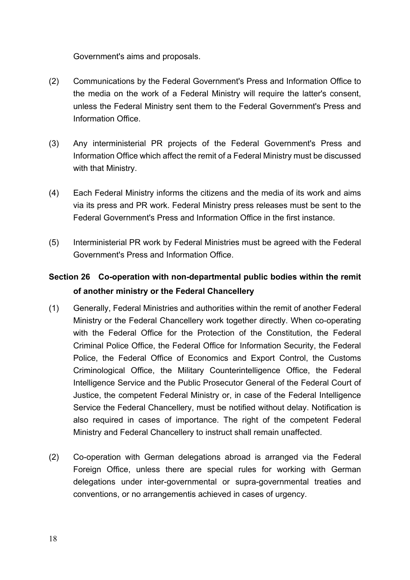<span id="page-17-0"></span>Government's aims and proposals.

- (2) Communications by the Federal Government's Press and Information Office to the media on the work of a Federal Ministry will require the latter's consent, unless the Federal Ministry sent them to the Federal Government's Press and Information Office.
- (3) Any interministerial PR projects of the Federal Government's Press and Information Office which affect the remit of a Federal Ministry must be discussed with that Ministry.
- (4) Each Federal Ministry informs the citizens and the media of its work and aims via its press and PR work. Federal Ministry press releases must be sent to the Federal Government's Press and Information Office in the first instance.
- (5) Interministerial PR work by Federal Ministries must be agreed with the Federal Government's Press and Information Office.

# **Section 26 Co-operation with non-departmental public bodies within the remit of another ministry or the Federal Chancellery**

- (1) Generally, Federal Ministries and authorities within the remit of another Federal Ministry or the Federal Chancellery work together directly. When co-operating with the Federal Office for the Protection of the Constitution, the Federal Criminal Police Office, the Federal Office for Information Security, the Federal Police, the Federal Office of Economics and Export Control, the Customs Criminological Office, the Military Counterintelligence Office, the Federal Intelligence Service and the Public Prosecutor General of the Federal Court of Justice, the competent Federal Ministry or, in case of the Federal Intelligence Service the Federal Chancellery, must be notified without delay. Notification is also required in cases of importance. The right of the competent Federal Ministry and Federal Chancellery to instruct shall remain unaffected.
- (2) Co-operation with German delegations abroad is arranged via the Federal Foreign Office, unless there are special rules for working with German delegations under inter-governmental or supra-governmental treaties and conventions, or no arrangementis achieved in cases of urgency.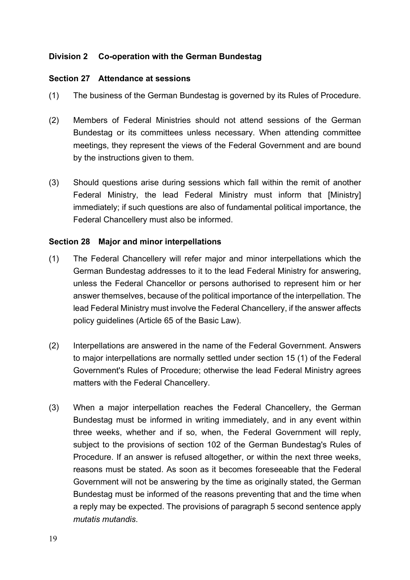### <span id="page-18-0"></span>**Division 2 Co-operation with the German Bundestag**

#### **Section 27 Attendance at sessions**

- (1) The business of the German Bundestag is governed by its Rules of Procedure.
- (2) Members of Federal Ministries should not attend sessions of the German Bundestag or its committees unless necessary. When attending committee meetings, they represent the views of the Federal Government and are bound by the instructions given to them.
- (3) Should questions arise during sessions which fall within the remit of another Federal Ministry, the lead Federal Ministry must inform that [Ministry] immediately; if such questions are also of fundamental political importance, the Federal Chancellery must also be informed.

#### **Section 28 Major and minor interpellations**

- (1) The Federal Chancellery will refer major and minor interpellations which the German Bundestag addresses to it to the lead Federal Ministry for answering, unless the Federal Chancellor or persons authorised to represent him or her answer themselves, because of the political importance of the interpellation. The lead Federal Ministry must involve the Federal Chancellery, if the answer affects policy guidelines (Article 65 of the Basic Law).
- (2) Interpellations are answered in the name of the Federal Government. Answers to major interpellations are normally settled under section 15 (1) of the Federal Government's Rules of Procedure; otherwise the lead Federal Ministry agrees matters with the Federal Chancellery.
- (3) When a major interpellation reaches the Federal Chancellery, the German Bundestag must be informed in writing immediately, and in any event within three weeks, whether and if so, when, the Federal Government will reply, subject to the provisions of section 102 of the German Bundestag's Rules of Procedure. If an answer is refused altogether, or within the next three weeks, reasons must be stated. As soon as it becomes foreseeable that the Federal Government will not be answering by the time as originally stated, the German Bundestag must be informed of the reasons preventing that and the time when a reply may be expected. The provisions of paragraph 5 second sentence apply *mutatis mutandis*.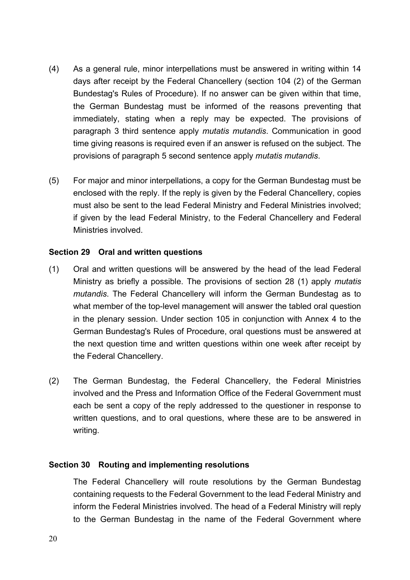- <span id="page-19-0"></span>(4) As a general rule, minor interpellations must be answered in writing within 14 days after receipt by the Federal Chancellery (section 104 (2) of the German Bundestag's Rules of Procedure). If no answer can be given within that time, the German Bundestag must be informed of the reasons preventing that immediately, stating when a reply may be expected. The provisions of paragraph 3 third sentence apply *mutatis mutandis*. Communication in good time giving reasons is required even if an answer is refused on the subject. The provisions of paragraph 5 second sentence apply *mutatis mutandis*.
- (5) For major and minor interpellations, a copy for the German Bundestag must be enclosed with the reply. If the reply is given by the Federal Chancellery, copies must also be sent to the lead Federal Ministry and Federal Ministries involved; if given by the lead Federal Ministry, to the Federal Chancellery and Federal Ministries involved.

#### **Section 29 Oral and written questions**

- (1) Oral and written questions will be answered by the head of the lead Federal Ministry as briefly a possible. The provisions of section 28 (1) apply *mutatis mutandis*. The Federal Chancellery will inform the German Bundestag as to what member of the top-level management will answer the tabled oral question in the plenary session. Under section 105 in conjunction with Annex 4 to the German Bundestag's Rules of Procedure, oral questions must be answered at the next question time and written questions within one week after receipt by the Federal Chancellery.
- (2) The German Bundestag, the Federal Chancellery, the Federal Ministries involved and the Press and Information Office of the Federal Government must each be sent a copy of the reply addressed to the questioner in response to written questions, and to oral questions, where these are to be answered in writing.

#### **Section 30 Routing and implementing resolutions**

 The Federal Chancellery will route resolutions by the German Bundestag containing requests to the Federal Government to the lead Federal Ministry and inform the Federal Ministries involved. The head of a Federal Ministry will reply to the German Bundestag in the name of the Federal Government where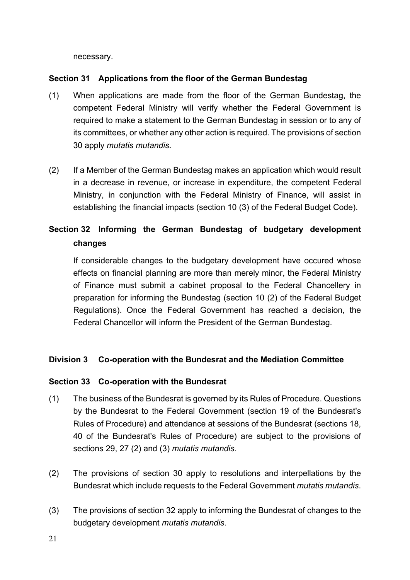necessary.

#### <span id="page-20-0"></span>**Section 31 Applications from the floor of the German Bundestag**

- (1) When applications are made from the floor of the German Bundestag, the competent Federal Ministry will verify whether the Federal Government is required to make a statement to the German Bundestag in session or to any of its committees, or whether any other action is required. The provisions of section 30 apply *mutatis mutandis*.
- (2) If a Member of the German Bundestag makes an application which would result in a decrease in revenue, or increase in expenditure, the competent Federal Ministry, in conjunction with the Federal Ministry of Finance, will assist in establishing the financial impacts (section 10 (3) of the Federal Budget Code).

# **Section 32 Informing the German Bundestag of budgetary development changes**

 If considerable changes to the budgetary development have occured whose effects on financial planning are more than merely minor, the Federal Ministry of Finance must submit a cabinet proposal to the Federal Chancellery in preparation for informing the Bundestag (section 10 (2) of the Federal Budget Regulations). Once the Federal Government has reached a decision, the Federal Chancellor will inform the President of the German Bundestag.

### **Division 3 Co-operation with the Bundesrat and the Mediation Committee**

#### **Section 33 Co-operation with the Bundesrat**

- (1) The business of the Bundesrat is governed by its Rules of Procedure. Questions by the Bundesrat to the Federal Government (section 19 of the Bundesrat's Rules of Procedure) and attendance at sessions of the Bundesrat (sections 18, 40 of the Bundesrat's Rules of Procedure) are subject to the provisions of sections 29, 27 (2) and (3) *mutatis mutandis*.
- (2) The provisions of section 30 apply to resolutions and interpellations by the Bundesrat which include requests to the Federal Government *mutatis mutandis*.
- (3) The provisions of section 32 apply to informing the Bundesrat of changes to the budgetary development *mutatis mutandis*.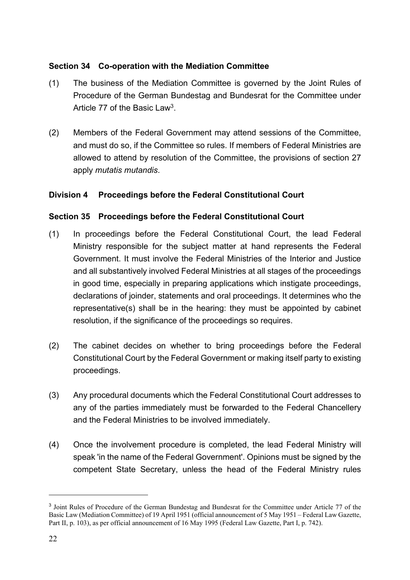### <span id="page-21-0"></span>**Section 34 Co-operation with the Mediation Committee**

- <span id="page-21-2"></span>(1) The business of the Mediation Committee is governed by the Joint Rules of Procedure of the German Bundestag and Bundesrat for the Committee under Article 77 of the Basic Law<sup>[3](#page-21-1)</sup>.
- (2) Members of the Federal Government may attend sessions of the Committee, and must do so, if the Committee so rules. If members of Federal Ministries are allowed to attend by resolution of the Committee, the provisions of section 27 apply *mutatis mutandis*.

# **Division 4 Proceedings before the Federal Constitutional Court**

# **Section 35 Proceedings before the Federal Constitutional Court**

- (1) In proceedings before the Federal Constitutional Court, the lead Federal Ministry responsible for the subject matter at hand represents the Federal Government. It must involve the Federal Ministries of the Interior and Justice and all substantively involved Federal Ministries at all stages of the proceedings in good time, especially in preparing applications which instigate proceedings, declarations of joinder, statements and oral proceedings. It determines who the representative(s) shall be in the hearing: they must be appointed by cabinet resolution, if the significance of the proceedings so requires.
- (2) The cabinet decides on whether to bring proceedings before the Federal Constitutional Court by the Federal Government or making itself party to existing proceedings.
- (3) Any procedural documents which the Federal Constitutional Court addresses to any of the parties immediately must be forwarded to the Federal Chancellery and the Federal Ministries to be involved immediately.
- (4) Once the involvement procedure is completed, the lead Federal Ministry will speak 'in the name of the Federal Government'. Opinions must be signed by the competent State Secretary, unless the head of the Federal Ministry rules

<span id="page-21-1"></span><sup>&</sup>lt;sup>[3](#page-21-2)</sup> Joint Rules of Procedure of the German Bundestag and Bundesrat for the Committee under Article 77 of the Basic Law (Mediation Committee) of 19 April 1951 (official announcement of 5 May 1951 – Federal Law Gazette, Part II, p. 103), as per official announcement of 16 May 1995 (Federal Law Gazette, Part I, p. 742).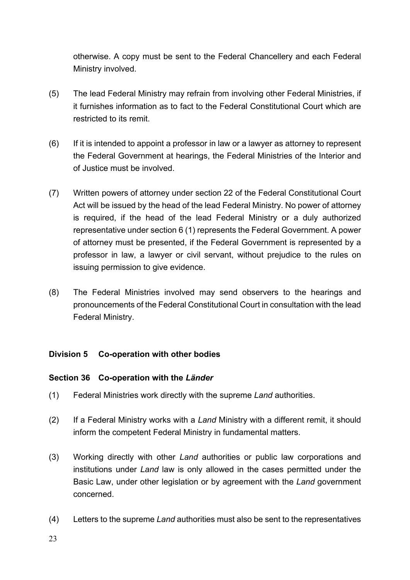<span id="page-22-0"></span>otherwise. A copy must be sent to the Federal Chancellery and each Federal Ministry involved.

- (5) The lead Federal Ministry may refrain from involving other Federal Ministries, if it furnishes information as to fact to the Federal Constitutional Court which are restricted to its remit.
- (6) If it is intended to appoint a professor in law or a lawyer as attorney to represent the Federal Government at hearings, the Federal Ministries of the Interior and of Justice must be involved.
- (7) Written powers of attorney under section 22 of the Federal Constitutional Court Act will be issued by the head of the lead Federal Ministry. No power of attorney is required, if the head of the lead Federal Ministry or a duly authorized representative under section 6 (1) represents the Federal Government. A power of attorney must be presented, if the Federal Government is represented by a professor in law, a lawyer or civil servant, without prejudice to the rules on issuing permission to give evidence.
- (8) The Federal Ministries involved may send observers to the hearings and pronouncements of the Federal Constitutional Court in consultation with the lead Federal Ministry.

### **Division 5 Co-operation with other bodies**

### **Section 36 Co-operation with the** *Länder*

- (1) Federal Ministries work directly with the supreme *Land* authorities.
- (2) If a Federal Ministry works with a *Land* Ministry with a different remit, it should inform the competent Federal Ministry in fundamental matters.
- (3) Working directly with other *Land* authorities or public law corporations and institutions under *Land* law is only allowed in the cases permitted under the Basic Law, under other legislation or by agreement with the *Land* government concerned.
- (4) Letters to the supreme *Land* authorities must also be sent to the representatives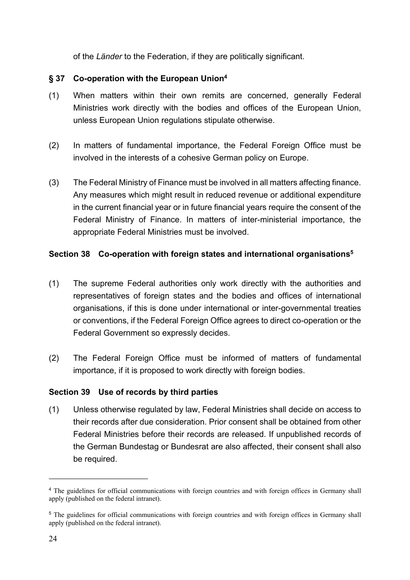<span id="page-23-3"></span>of the *Länder* to the Federation, if they are politically significant.

## <span id="page-23-0"></span>**§ 37 Co-operation with the European Union[4](#page-23-1)**

- (1) When matters within their own remits are concerned, generally Federal Ministries work directly with the bodies and offices of the European Union, unless European Union regulations stipulate otherwise.
- (2) In matters of fundamental importance, the Federal Foreign Office must be involved in the interests of a cohesive German policy on Europe.
- (3) The Federal Ministry of Finance must be involved in all matters affecting finance. Any measures which might result in reduced revenue or additional expenditure in the current financial year or in future financial years require the consent of the Federal Ministry of Finance. In matters of inter-ministerial importance, the appropriate Federal Ministries must be involved.

# <span id="page-23-4"></span>**Section 38 Co-operation with foreign states and international organisations[5](#page-23-2)**

- (1) The supreme Federal authorities only work directly with the authorities and representatives of foreign states and the bodies and offices of international organisations, if this is done under international or inter-governmental treaties or conventions, if the Federal Foreign Office agrees to direct co-operation or the Federal Government so expressly decides.
- (2) The Federal Foreign Office must be informed of matters of fundamental importance, if it is proposed to work directly with foreign bodies.

### **Section 39 Use of records by third parties**

(1) Unless otherwise regulated by law, Federal Ministries shall decide on access to their records after due consideration. Prior consent shall be obtained from other Federal Ministries before their records are released. If unpublished records of the German Bundestag or Bundesrat are also affected, their consent shall also be required.

<span id="page-23-1"></span><sup>&</sup>lt;sup>[4](#page-23-3)</sup> The guidelines for official communications with foreign countries and with foreign offices in Germany shall apply (published on the federal intranet).

<span id="page-23-2"></span><sup>&</sup>lt;sup>[5](#page-23-4)</sup> The guidelines for official communications with foreign countries and with foreign offices in Germany shall apply (published on the federal intranet).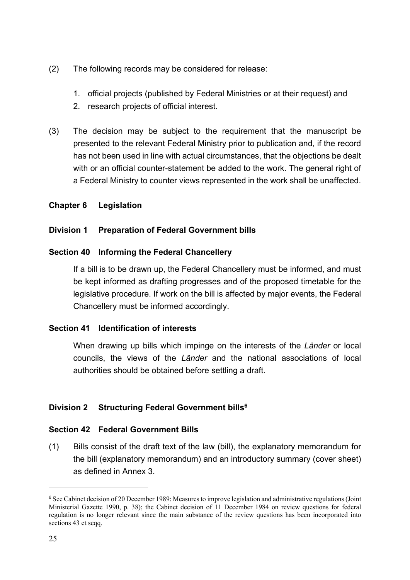- <span id="page-24-0"></span>(2) The following records may be considered for release:
	- 1. official projects (published by Federal Ministries or at their request) and
	- 2. research projects of official interest.
- (3) The decision may be subject to the requirement that the manuscript be presented to the relevant Federal Ministry prior to publication and, if the record has not been used in line with actual circumstances, that the objections be dealt with or an official counter-statement be added to the work. The general right of a Federal Ministry to counter views represented in the work shall be unaffected.

# **Chapter 6 Legislation**

# **Division 1 Preparation of Federal Government bills**

# **Section 40 Informing the Federal Chancellery**

 If a bill is to be drawn up, the Federal Chancellery must be informed, and must be kept informed as drafting progresses and of the proposed timetable for the legislative procedure. If work on the bill is affected by major events, the Federal Chancellery must be informed accordingly.

### **Section 41 Identification of interests**

<span id="page-24-2"></span> When drawing up bills which impinge on the interests of the *Länder* or local councils, the views of the *Länder* and the national associations of local authorities should be obtained before settling a draft.

# **Division 2 Structuring Federal Government bills[6](#page-24-1)**

### **Section 42 Federal Government Bills**

(1) Bills consist of the draft text of the law (bill), the explanatory memorandum for the bill (explanatory memorandum) and an introductory summary (cover sheet) as defined in Annex 3.

<span id="page-24-1"></span><sup>&</sup>lt;sup>[6](#page-24-2)</sup> See Cabinet decision of 20 December 1989: Measures to improve legislation and administrative regulations (Joint Ministerial Gazette 1990, p. 38); the Cabinet decision of 11 December 1984 on review questions for federal regulation is no longer relevant since the main substance of the review questions has been incorporated into sections 43 et seqq.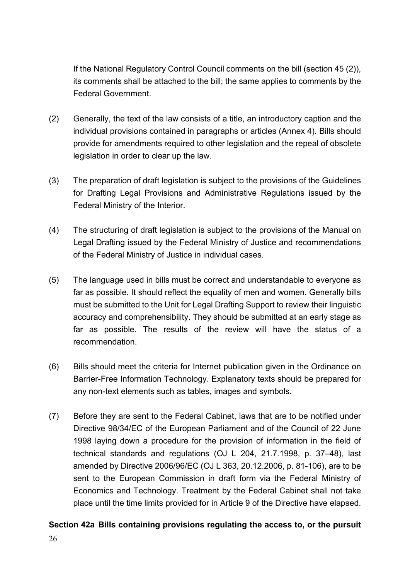<span id="page-25-0"></span> If the National Regulatory Control Council comments on the bill (section 45 (2)), its comments shall be attached to the bill; the same applies to comments by the Federal Government.

- (2) Generally, the text of the law consists of a title, an introductory caption and the individual provisions contained in paragraphs or articles (Annex 4). Bills should provide for amendments required to other legislation and the repeal of obsolete legislation in order to clear up the law.
- (3) The preparation of draft legislation is subject to the provisions of the Guidelines for Drafting Legal Provisions and Administrative Regulations issued by the Federal Ministry of the Interior.
- (4) The structuring of draft legislation is subject to the provisions of the Manual on Legal Drafting issued by the Federal Ministry of Justice and recommendations of the Federal Ministry of Justice in individual cases.
- (5) The language used in bills must be correct and understandable to everyone as far as possible. It should reflect the equality of men and women. Generally bills must be submitted to the Unit for Legal Drafting Support to review their linguistic accuracy and comprehensibility. They should be submitted at an early stage as far as possible. The results of the review will have the status of a recommendation.
- (6) Bills should meet the criteria for Internet publication given in the Ordinance on Barrier-Free Information Technology. Explanatory texts should be prepared for any non-text elements such as tables, images and symbols.
- (7) Before they are sent to the Federal Cabinet, laws that are to be notified under Directive 98/34/EC of the European Parliament and of the Council of 22 June 1998 laying down a procedure for the provision of information in the field of technical standards and regulations (OJ L 204, 21.7.1998, p. 37–48), last amended by Directive 2006/96/EC (OJ L 363, 20.12.2006, p. 81-106), are to be sent to the European Commission in draft form via the Federal Ministry of Economics and Technology. Treatment by the Federal Cabinet shall not take place until the time limits provided for in Article 9 of the Directive have elapsed.

# **Section 42a Bills containing provisions regulating the access to, or the pursuit**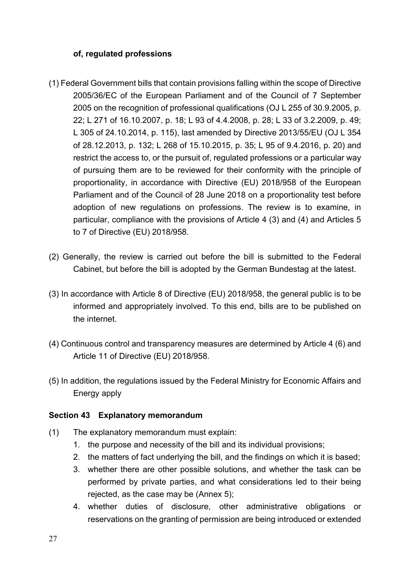## <span id="page-26-0"></span>**of, regulated professions**

- (1) Federal Government bills that contain provisions falling within the scope of Directive 2005/36/EC of the European Parliament and of the Council of 7 September 2005 on the recognition of professional qualifications (OJ L 255 of 30.9.2005, p. 22; L 271 of 16.10.2007, p. 18; L 93 of 4.4.2008, p. 28; L 33 of 3.2.2009, p. 49; L 305 of 24.10.2014, p. 115), last amended by Directive 2013/55/EU (OJ L 354 of 28.12.2013, p. 132; L 268 of 15.10.2015, p. 35; L 95 of 9.4.2016, p. 20) and restrict the access to, or the pursuit of, regulated professions or a particular way of pursuing them are to be reviewed for their conformity with the principle of proportionality, in accordance with Directive (EU) 2018/958 of the European Parliament and of the Council of 28 June 2018 on a proportionality test before adoption of new regulations on professions. The review is to examine, in particular, compliance with the provisions of Article 4 (3) and (4) and Articles 5 to 7 of Directive (EU) 2018/958.
- (2) Generally, the review is carried out before the bill is submitted to the Federal Cabinet, but before the bill is adopted by the German Bundestag at the latest.
- (3) In accordance with Article 8 of Directive (EU) 2018/958, the general public is to be informed and appropriately involved. To this end, bills are to be published on the internet.
- (4) Continuous control and transparency measures are determined by Article 4 (6) and Article 11 of Directive (EU) 2018/958.
- (5) In addition, the regulations issued by the Federal Ministry for Economic Affairs and Energy apply

### **Section 43 Explanatory memorandum**

- (1) The explanatory memorandum must explain:
	- 1. the purpose and necessity of the bill and its individual provisions;
	- 2. the matters of fact underlying the bill, and the findings on which it is based;
	- 3. whether there are other possible solutions, and whether the task can be performed by private parties, and what considerations led to their being rejected, as the case may be (Annex 5);
	- 4. whether duties of disclosure, other administrative obligations or reservations on the granting of permission are being introduced or extended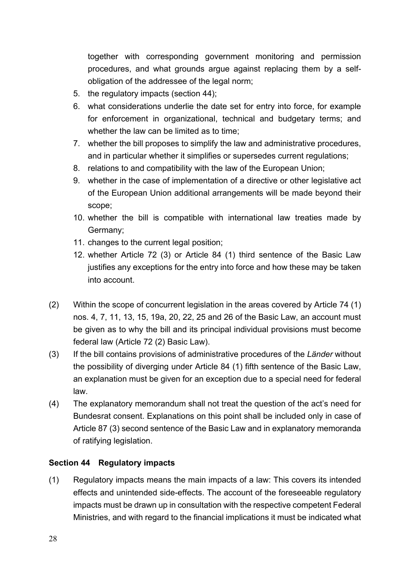<span id="page-27-0"></span>together with corresponding government monitoring and permission procedures, and what grounds argue against replacing them by a selfobligation of the addressee of the legal norm;

- 5. the regulatory impacts (section 44);
- 6. what considerations underlie the date set for entry into force, for example for enforcement in organizational, technical and budgetary terms; and whether the law can be limited as to time;
- 7. whether the bill proposes to simplify the law and administrative procedures, and in particular whether it simplifies or supersedes current regulations;
- 8. relations to and compatibility with the law of the European Union;
- 9. whether in the case of implementation of a directive or other legislative act of the European Union additional arrangements will be made beyond their scope;
- 10. whether the bill is compatible with international law treaties made by Germany;
- 11. changes to the current legal position;
- 12. whether Article 72 (3) or Article 84 (1) third sentence of the Basic Law justifies any exceptions for the entry into force and how these may be taken into account.
- (2) Within the scope of concurrent legislation in the areas covered by Article 74 (1) nos. 4, 7, 11, 13, 15, 19a, 20, 22, 25 and 26 of the Basic Law, an account must be given as to why the bill and its principal individual provisions must become federal law (Article 72 (2) Basic Law).
- (3) If the bill contains provisions of administrative procedures of the *Länder* without the possibility of diverging under Article 84 (1) fifth sentence of the Basic Law, an explanation must be given for an exception due to a special need for federal law.
- (4) The explanatory memorandum shall not treat the question of the act's need for Bundesrat consent. Explanations on this point shall be included only in case of Article 87 (3) second sentence of the Basic Law and in explanatory memoranda of ratifying legislation.

### **Section 44 Regulatory impacts**

(1) Regulatory impacts means the main impacts of a law: This covers its intended effects and unintended side-effects. The account of the foreseeable regulatory impacts must be drawn up in consultation with the respective competent Federal Ministries, and with regard to the financial implications it must be indicated what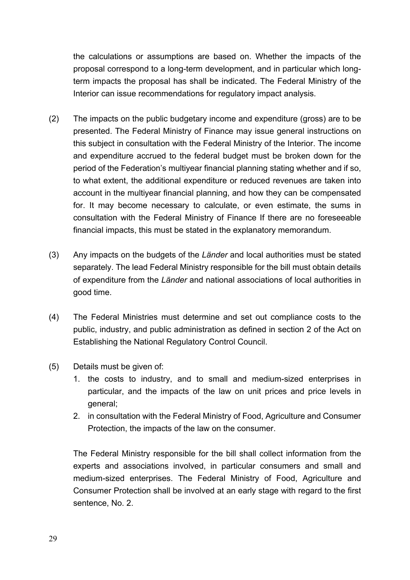the calculations or assumptions are based on. Whether the impacts of the proposal correspond to a long-term development, and in particular which longterm impacts the proposal has shall be indicated. The Federal Ministry of the Interior can issue recommendations for regulatory impact analysis.

- (2) The impacts on the public budgetary income and expenditure (gross) are to be presented. The Federal Ministry of Finance may issue general instructions on this subject in consultation with the Federal Ministry of the Interior. The income and expenditure accrued to the federal budget must be broken down for the period of the Federation's multiyear financial planning stating whether and if so, to what extent, the additional expenditure or reduced revenues are taken into account in the multiyear financial planning, and how they can be compensated for. It may become necessary to calculate, or even estimate, the sums in consultation with the Federal Ministry of Finance If there are no foreseeable financial impacts, this must be stated in the explanatory memorandum.
- (3) Any impacts on the budgets of the *Länder* and local authorities must be stated separately. The lead Federal Ministry responsible for the bill must obtain details of expenditure from the *Länder* and national associations of local authorities in good time.
- (4) The Federal Ministries must determine and set out compliance costs to the public, industry, and public administration as defined in section 2 of the Act on Establishing the National Regulatory Control Council.
- (5) Details must be given of:
	- 1. the costs to industry, and to small and medium-sized enterprises in particular, and the impacts of the law on unit prices and price levels in general;
	- 2. in consultation with the Federal Ministry of Food, Agriculture and Consumer Protection, the impacts of the law on the consumer.

 The Federal Ministry responsible for the bill shall collect information from the experts and associations involved, in particular consumers and small and medium-sized enterprises. The Federal Ministry of Food, Agriculture and Consumer Protection shall be involved at an early stage with regard to the first sentence, No. 2.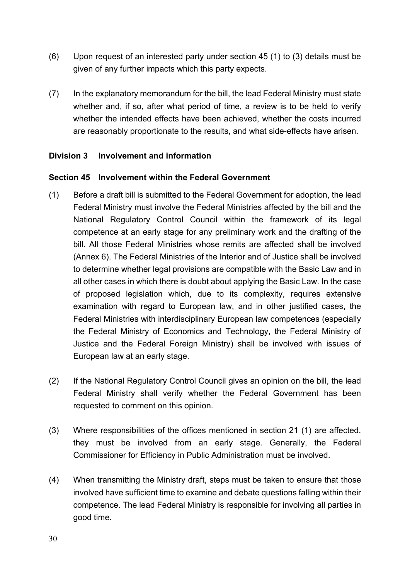- <span id="page-29-0"></span>(6) Upon request of an interested party under section 45 (1) to (3) details must be given of any further impacts which this party expects.
- (7) In the explanatory memorandum for the bill, the lead Federal Ministry must state whether and, if so, after what period of time, a review is to be held to verify whether the intended effects have been achieved, whether the costs incurred are reasonably proportionate to the results, and what side-effects have arisen.

### **Division 3 Involvement and information**

### **Section 45 Involvement within the Federal Government**

- (1) Before a draft bill is submitted to the Federal Government for adoption, the lead Federal Ministry must involve the Federal Ministries affected by the bill and the National Regulatory Control Council within the framework of its legal competence at an early stage for any preliminary work and the drafting of the bill. All those Federal Ministries whose remits are affected shall be involved (Annex 6). The Federal Ministries of the Interior and of Justice shall be involved to determine whether legal provisions are compatible with the Basic Law and in all other cases in which there is doubt about applying the Basic Law. In the case of proposed legislation which, due to its complexity, requires extensive examination with regard to European law, and in other justified cases, the Federal Ministries with interdisciplinary European law competences (especially the Federal Ministry of Economics and Technology, the Federal Ministry of Justice and the Federal Foreign Ministry) shall be involved with issues of European law at an early stage.
- (2) If the National Regulatory Control Council gives an opinion on the bill, the lead Federal Ministry shall verify whether the Federal Government has been requested to comment on this opinion.
- (3) Where responsibilities of the offices mentioned in section 21 (1) are affected, they must be involved from an early stage. Generally, the Federal Commissioner for Efficiency in Public Administration must be involved.
- (4) When transmitting the Ministry draft, steps must be taken to ensure that those involved have sufficient time to examine and debate questions falling within their competence. The lead Federal Ministry is responsible for involving all parties in good time.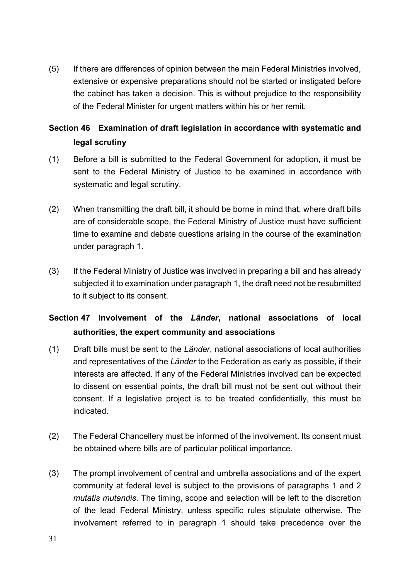<span id="page-30-0"></span>(5) If there are differences of opinion between the main Federal Ministries involved, extensive or expensive preparations should not be started or instigated before the cabinet has taken a decision. This is without prejudice to the responsibility of the Federal Minister for urgent matters within his or her remit.

# **Section 46 Examination of draft legislation in accordance with systematic and legal scrutiny**

- (1) Before a bill is submitted to the Federal Government for adoption, it must be sent to the Federal Ministry of Justice to be examined in accordance with systematic and legal scrutiny.
- (2) When transmitting the draft bill, it should be borne in mind that, where draft bills are of considerable scope, the Federal Ministry of Justice must have sufficient time to examine and debate questions arising in the course of the examination under paragraph 1.
- (3) If the Federal Ministry of Justice was involved in preparing a bill and has already subjected it to examination under paragraph 1, the draft need not be resubmitted to it subject to its consent.

# **Section 47 Involvement of the** *Länder***, national associations of local authorities, the expert community and associations**

- (1) Draft bills must be sent to the *Länder*, national associations of local authorities and representatives of the *Länder* to the Federation as early as possible, if their interests are affected. If any of the Federal Ministries involved can be expected to dissent on essential points, the draft bill must not be sent out without their consent. If a legislative project is to be treated confidentially, this must be indicated.
- (2) The Federal Chancellery must be informed of the involvement. Its consent must be obtained where bills are of particular political importance.
- (3) The prompt involvement of central and umbrella associations and of the expert community at federal level is subject to the provisions of paragraphs 1 and 2 *mutatis mutandis*. The timing, scope and selection will be left to the discretion of the lead Federal Ministry, unless specific rules stipulate otherwise. The involvement referred to in paragraph 1 should take precedence over the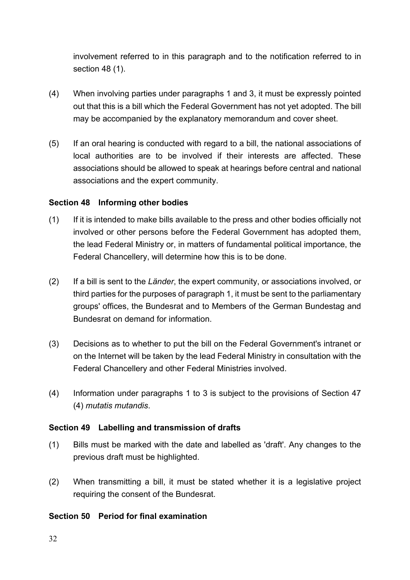<span id="page-31-0"></span>involvement referred to in this paragraph and to the notification referred to in section 48 (1).

- (4) When involving parties under paragraphs 1 and 3, it must be expressly pointed out that this is a bill which the Federal Government has not yet adopted. The bill may be accompanied by the explanatory memorandum and cover sheet.
- (5) If an oral hearing is conducted with regard to a bill, the national associations of local authorities are to be involved if their interests are affected. These associations should be allowed to speak at hearings before central and national associations and the expert community.

#### **Section 48 Informing other bodies**

- (1) If it is intended to make bills available to the press and other bodies officially not involved or other persons before the Federal Government has adopted them, the lead Federal Ministry or, in matters of fundamental political importance, the Federal Chancellery, will determine how this is to be done.
- (2) If a bill is sent to the *Länder*, the expert community, or associations involved, or third parties for the purposes of paragraph 1, it must be sent to the parliamentary groups' offices, the Bundesrat and to Members of the German Bundestag and Bundesrat on demand for information.
- (3) Decisions as to whether to put the bill on the Federal Government's intranet or on the Internet will be taken by the lead Federal Ministry in consultation with the Federal Chancellery and other Federal Ministries involved.
- (4) Information under paragraphs 1 to 3 is subject to the provisions of Section 47 (4) *mutatis mutandis*.

### **Section 49 Labelling and transmission of drafts**

- (1) Bills must be marked with the date and labelled as 'draft'. Any changes to the previous draft must be highlighted.
- (2) When transmitting a bill, it must be stated whether it is a legislative project requiring the consent of the Bundesrat.

### **Section 50 Period for final examination**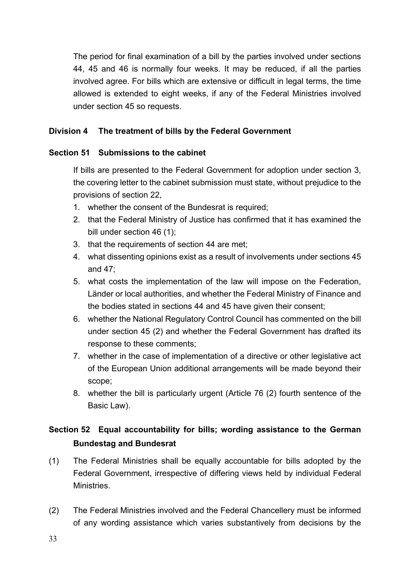<span id="page-32-0"></span> The period for final examination of a bill by the parties involved under sections 44, 45 and 46 is normally four weeks. It may be reduced, if all the parties involved agree. For bills which are extensive or difficult in legal terms, the time allowed is extended to eight weeks, if any of the Federal Ministries involved under section 45 so requests.

### **Division 4 The treatment of bills by the Federal Government**

### **Section 51 Submissions to the cabinet**

 If bills are presented to the Federal Government for adoption under section 3, the covering letter to the cabinet submission must state, without prejudice to the provisions of section 22,

- 1. whether the consent of the Bundesrat is required;
- 2. that the Federal Ministry of Justice has confirmed that it has examined the bill under section 46 (1);
- 3. that the requirements of section 44 are met;
- 4. what dissenting opinions exist as a result of involvements under sections 45 and 47;
- 5. what costs the implementation of the law will impose on the Federation, Länder or local authorities, and whether the Federal Ministry of Finance and the bodies stated in sections 44 and 45 have given their consent;
- 6. whether the National Regulatory Control Council has commented on the bill under section 45 (2) and whether the Federal Government has drafted its response to these comments;
- 7. whether in the case of implementation of a directive or other legislative act of the European Union additional arrangements will be made beyond their scope;
- 8. whether the bill is particularly urgent (Article 76 (2) fourth sentence of the Basic Law).

# **Section 52 Equal accountability for bills; wording assistance to the German Bundestag and Bundesrat**

- (1) The Federal Ministries shall be equally accountable for bills adopted by the Federal Government, irrespective of differing views held by individual Federal **Ministries**
- (2) The Federal Ministries involved and the Federal Chancellery must be informed of any wording assistance which varies substantively from decisions by the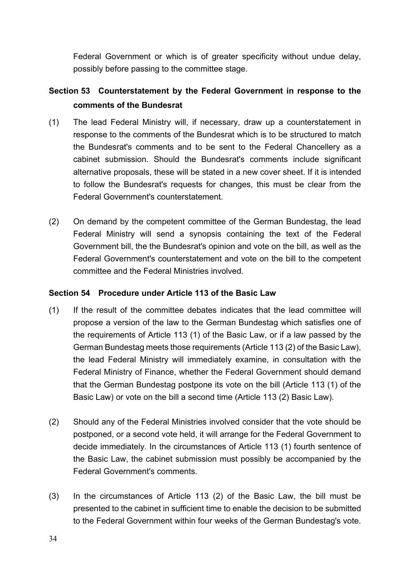<span id="page-33-0"></span>Federal Government or which is of greater specificity without undue delay, possibly before passing to the committee stage.

# **Section 53 Counterstatement by the Federal Government in response to the comments of the Bundesrat**

- (1) The lead Federal Ministry will, if necessary, draw up a counterstatement in response to the comments of the Bundesrat which is to be structured to match the Bundesrat's comments and to be sent to the Federal Chancellery as a cabinet submission. Should the Bundesrat's comments include significant alternative proposals, these will be stated in a new cover sheet. If it is intended to follow the Bundesrat's requests for changes, this must be clear from the Federal Government's counterstatement.
- (2) On demand by the competent committee of the German Bundestag, the lead Federal Ministry will send a synopsis containing the text of the Federal Government bill, the the Bundesrat's opinion and vote on the bill, as well as the Federal Government's counterstatement and vote on the bill to the competent committee and the Federal Ministries involved.

### **Section 54 Procedure under Article 113 of the Basic Law**

- (1) If the result of the committee debates indicates that the lead committee will propose a version of the law to the German Bundestag which satisfies one of the requirements of Article 113 (1) of the Basic Law, or if a law passed by the German Bundestag meets those requirements (Article 113 (2) of the Basic Law), the lead Federal Ministry will immediately examine, in consultation with the Federal Ministry of Finance, whether the Federal Government should demand that the German Bundestag postpone its vote on the bill (Article 113 (1) of the Basic Law) or vote on the bill a second time (Article 113 (2) Basic Law).
- (2) Should any of the Federal Ministries involved consider that the vote should be postponed, or a second vote held, it will arrange for the Federal Government to decide immediately. In the circumstances of Article 113 (1) fourth sentence of the Basic Law, the cabinet submission must possibly be accompanied by the Federal Government's comments.
- (3) In the circumstances of Article 113 (2) of the Basic Law, the bill must be presented to the cabinet in sufficient time to enable the decision to be submitted to the Federal Government within four weeks of the German Bundestag's vote.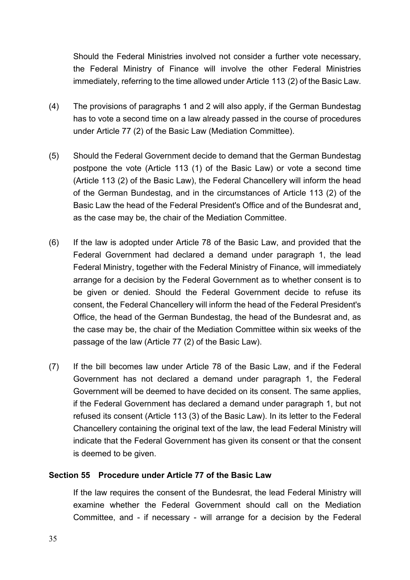<span id="page-34-0"></span>Should the Federal Ministries involved not consider a further vote necessary, the Federal Ministry of Finance will involve the other Federal Ministries immediately, referring to the time allowed under Article 113 (2) of the Basic Law.

- (4) The provisions of paragraphs 1 and 2 will also apply, if the German Bundestag has to vote a second time on a law already passed in the course of procedures under Article 77 (2) of the Basic Law (Mediation Committee).
- (5) Should the Federal Government decide to demand that the German Bundestag postpone the vote (Article 113 (1) of the Basic Law) or vote a second time (Article 113 (2) of the Basic Law), the Federal Chancellery will inform the head of the German Bundestag, and in the circumstances of Article 113 (2) of the Basic Law the head of the Federal President's Office and of the Bundesrat and¸ as the case may be, the chair of the Mediation Committee.
- (6) If the law is adopted under Article 78 of the Basic Law, and provided that the Federal Government had declared a demand under paragraph 1, the lead Federal Ministry, together with the Federal Ministry of Finance, will immediately arrange for a decision by the Federal Government as to whether consent is to be given or denied. Should the Federal Government decide to refuse its consent, the Federal Chancellery will inform the head of the Federal President's Office, the head of the German Bundestag, the head of the Bundesrat and, as the case may be, the chair of the Mediation Committee within six weeks of the passage of the law (Article 77 (2) of the Basic Law).
- (7) If the bill becomes law under Article 78 of the Basic Law, and if the Federal Government has not declared a demand under paragraph 1, the Federal Government will be deemed to have decided on its consent. The same applies, if the Federal Government has declared a demand under paragraph 1, but not refused its consent (Article 113 (3) of the Basic Law). In its letter to the Federal Chancellery containing the original text of the law, the lead Federal Ministry will indicate that the Federal Government has given its consent or that the consent is deemed to be given.

#### **Section 55 Procedure under Article 77 of the Basic Law**

 If the law requires the consent of the Bundesrat, the lead Federal Ministry will examine whether the Federal Government should call on the Mediation Committee, and - if necessary - will arrange for a decision by the Federal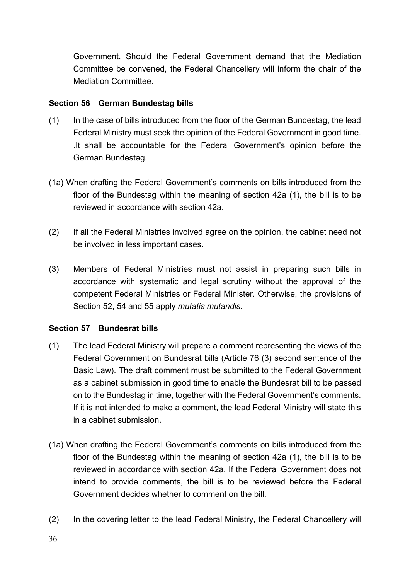<span id="page-35-0"></span>Government. Should the Federal Government demand that the Mediation Committee be convened, the Federal Chancellery will inform the chair of the Mediation Committee.

## **Section 56 German Bundestag bills**

- (1) In the case of bills introduced from the floor of the German Bundestag, the lead Federal Ministry must seek the opinion of the Federal Government in good time. .It shall be accountable for the Federal Government's opinion before the German Bundestag.
- (1a) When drafting the Federal Government's comments on bills introduced from the floor of the Bundestag within the meaning of section 42a (1), the bill is to be reviewed in accordance with section 42a.
- (2) If all the Federal Ministries involved agree on the opinion, the cabinet need not be involved in less important cases.
- (3) Members of Federal Ministries must not assist in preparing such bills in accordance with systematic and legal scrutiny without the approval of the competent Federal Ministries or Federal Minister. Otherwise, the provisions of Section 52, 54 and 55 apply *mutatis mutandis*.

### **Section 57 Bundesrat bills**

- (1) The lead Federal Ministry will prepare a comment representing the views of the Federal Government on Bundesrat bills (Article 76 (3) second sentence of the Basic Law). The draft comment must be submitted to the Federal Government as a cabinet submission in good time to enable the Bundesrat bill to be passed on to the Bundestag in time, together with the Federal Government's comments. If it is not intended to make a comment, the lead Federal Ministry will state this in a cabinet submission.
- (1a) When drafting the Federal Government's comments on bills introduced from the floor of the Bundestag within the meaning of section 42a (1), the bill is to be reviewed in accordance with section 42a. If the Federal Government does not intend to provide comments, the bill is to be reviewed before the Federal Government decides whether to comment on the bill.
- (2) In the covering letter to the lead Federal Ministry, the Federal Chancellery will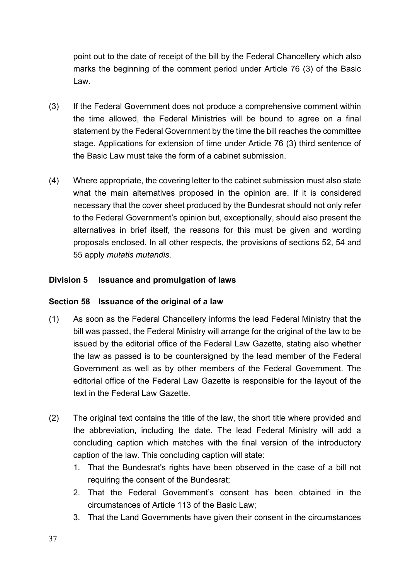<span id="page-36-0"></span>point out to the date of receipt of the bill by the Federal Chancellery which also marks the beginning of the comment period under Article 76 (3) of the Basic Law.

- (3) If the Federal Government does not produce a comprehensive comment within the time allowed, the Federal Ministries will be bound to agree on a final statement by the Federal Government by the time the bill reaches the committee stage. Applications for extension of time under Article 76 (3) third sentence of the Basic Law must take the form of a cabinet submission.
- (4) Where appropriate, the covering letter to the cabinet submission must also state what the main alternatives proposed in the opinion are. If it is considered necessary that the cover sheet produced by the Bundesrat should not only refer to the Federal Government's opinion but, exceptionally, should also present the alternatives in brief itself, the reasons for this must be given and wording proposals enclosed. In all other respects, the provisions of sections 52, 54 and 55 apply *mutatis mutandis*.

# **Division 5 Issuance and promulgation of laws**

### **Section 58 Issuance of the original of a law**

- (1) As soon as the Federal Chancellery informs the lead Federal Ministry that the bill was passed, the Federal Ministry will arrange for the original of the law to be issued by the editorial office of the Federal Law Gazette, stating also whether the law as passed is to be countersigned by the lead member of the Federal Government as well as by other members of the Federal Government. The editorial office of the Federal Law Gazette is responsible for the layout of the text in the Federal Law Gazette
- (2) The original text contains the title of the law, the short title where provided and the abbreviation, including the date. The lead Federal Ministry will add a concluding caption which matches with the final version of the introductory caption of the law. This concluding caption will state:
	- 1. That the Bundesrat's rights have been observed in the case of a bill not requiring the consent of the Bundesrat;
	- 2. That the Federal Government's consent has been obtained in the circumstances of Article 113 of the Basic Law;
	- 3. That the Land Governments have given their consent in the circumstances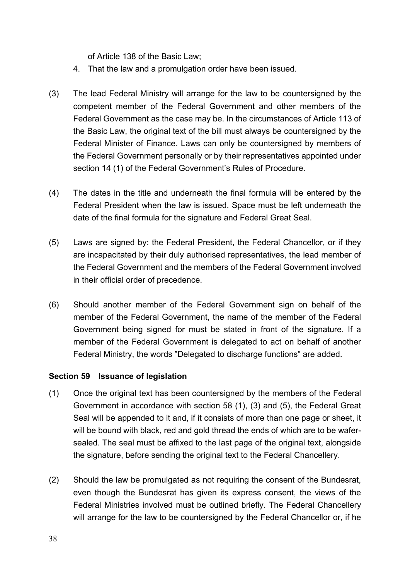of Article 138 of the Basic Law;

- <span id="page-37-0"></span>4. That the law and a promulgation order have been issued.
- (3) The lead Federal Ministry will arrange for the law to be countersigned by the competent member of the Federal Government and other members of the Federal Government as the case may be. In the circumstances of Article 113 of the Basic Law, the original text of the bill must always be countersigned by the Federal Minister of Finance. Laws can only be countersigned by members of the Federal Government personally or by their representatives appointed under section 14 (1) of the Federal Government's Rules of Procedure.
- (4) The dates in the title and underneath the final formula will be entered by the Federal President when the law is issued. Space must be left underneath the date of the final formula for the signature and Federal Great Seal.
- (5) Laws are signed by: the Federal President, the Federal Chancellor, or if they are incapacitated by their duly authorised representatives, the lead member of the Federal Government and the members of the Federal Government involved in their official order of precedence.
- (6) Should another member of the Federal Government sign on behalf of the member of the Federal Government, the name of the member of the Federal Government being signed for must be stated in front of the signature. If a member of the Federal Government is delegated to act on behalf of another Federal Ministry, the words "Delegated to discharge functions" are added.

### **Section 59 Issuance of legislation**

- (1) Once the original text has been countersigned by the members of the Federal Government in accordance with section 58 (1), (3) and (5), the Federal Great Seal will be appended to it and, if it consists of more than one page or sheet, it will be bound with black, red and gold thread the ends of which are to be wafersealed. The seal must be affixed to the last page of the original text, alongside the signature, before sending the original text to the Federal Chancellery.
- (2) Should the law be promulgated as not requiring the consent of the Bundesrat, even though the Bundesrat has given its express consent, the views of the Federal Ministries involved must be outlined briefly. The Federal Chancellery will arrange for the law to be countersigned by the Federal Chancellor or, if he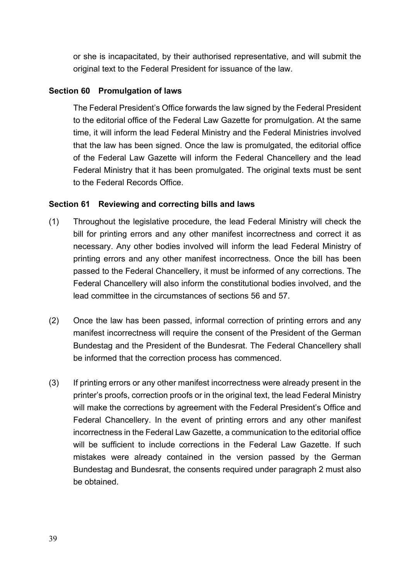<span id="page-38-0"></span>or she is incapacitated, by their authorised representative, and will submit the original text to the Federal President for issuance of the law.

## **Section 60 Promulgation of laws**

 The Federal President's Office forwards the law signed by the Federal President to the editorial office of the Federal Law Gazette for promulgation. At the same time, it will inform the lead Federal Ministry and the Federal Ministries involved that the law has been signed. Once the law is promulgated, the editorial office of the Federal Law Gazette will inform the Federal Chancellery and the lead Federal Ministry that it has been promulgated. The original texts must be sent to the Federal Records Office.

# **Section 61 Reviewing and correcting bills and laws**

- (1) Throughout the legislative procedure, the lead Federal Ministry will check the bill for printing errors and any other manifest incorrectness and correct it as necessary. Any other bodies involved will inform the lead Federal Ministry of printing errors and any other manifest incorrectness. Once the bill has been passed to the Federal Chancellery, it must be informed of any corrections. The Federal Chancellery will also inform the constitutional bodies involved, and the lead committee in the circumstances of sections 56 and 57.
- (2) Once the law has been passed, informal correction of printing errors and any manifest incorrectness will require the consent of the President of the German Bundestag and the President of the Bundesrat. The Federal Chancellery shall be informed that the correction process has commenced.
- (3) If printing errors or any other manifest incorrectness were already present in the printer's proofs, correction proofs or in the original text, the lead Federal Ministry will make the corrections by agreement with the Federal President's Office and Federal Chancellery. In the event of printing errors and any other manifest incorrectness in the Federal Law Gazette, a communication to the editorial office will be sufficient to include corrections in the Federal Law Gazette. If such mistakes were already contained in the version passed by the German Bundestag and Bundesrat, the consents required under paragraph 2 must also be obtained.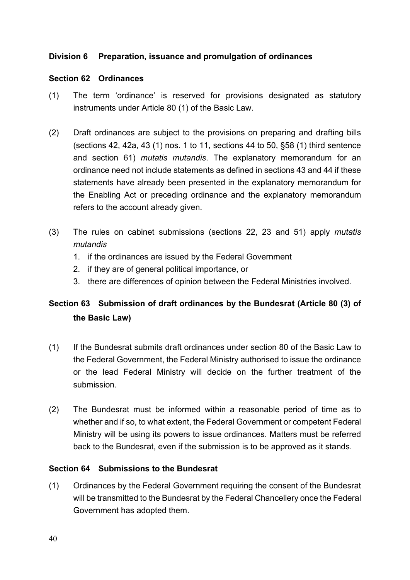### <span id="page-39-0"></span>**Division 6 Preparation, issuance and promulgation of ordinances**

#### **Section 62 Ordinances**

- (1) The term 'ordinance' is reserved for provisions designated as statutory instruments under Article 80 (1) of the Basic Law.
- (2) Draft ordinances are subject to the provisions on preparing and drafting bills (sections 42, 42a, 43 (1) nos. 1 to 11, sections 44 to 50, §58 (1) third sentence and section 61) *mutatis mutandis*. The explanatory memorandum for an ordinance need not include statements as defined in sections 43 and 44 if these statements have already been presented in the explanatory memorandum for the Enabling Act or preceding ordinance and the explanatory memorandum refers to the account already given.
- (3) The rules on cabinet submissions (sections 22, 23 and 51) apply *mutatis mutandis*
	- 1. if the ordinances are issued by the Federal Government
	- 2. if they are of general political importance, or
	- 3. there are differences of opinion between the Federal Ministries involved.

# **Section 63 Submission of draft ordinances by the Bundesrat (Article 80 (3) of the Basic Law)**

- (1) If the Bundesrat submits draft ordinances under section 80 of the Basic Law to the Federal Government, the Federal Ministry authorised to issue the ordinance or the lead Federal Ministry will decide on the further treatment of the submission.
- (2) The Bundesrat must be informed within a reasonable period of time as to whether and if so, to what extent, the Federal Government or competent Federal Ministry will be using its powers to issue ordinances. Matters must be referred back to the Bundesrat, even if the submission is to be approved as it stands.

#### **Section 64 Submissions to the Bundesrat**

(1) Ordinances by the Federal Government requiring the consent of the Bundesrat will be transmitted to the Bundesrat by the Federal Chancellery once the Federal Government has adopted them.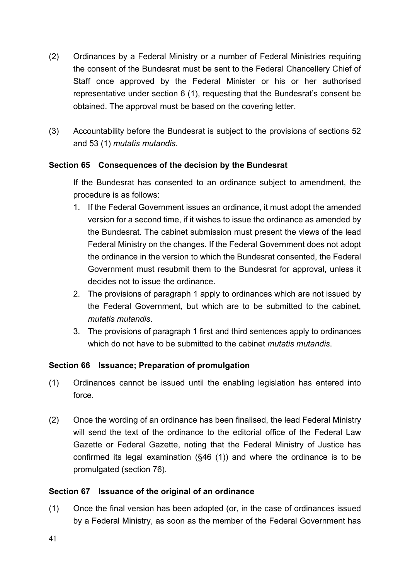- <span id="page-40-0"></span>(2) Ordinances by a Federal Ministry or a number of Federal Ministries requiring the consent of the Bundesrat must be sent to the Federal Chancellery Chief of Staff once approved by the Federal Minister or his or her authorised representative under section 6 (1), requesting that the Bundesrat's consent be obtained. The approval must be based on the covering letter.
- (3) Accountability before the Bundesrat is subject to the provisions of sections 52 and 53 (1) *mutatis mutandis*.

### **Section 65 Consequences of the decision by the Bundesrat**

 If the Bundesrat has consented to an ordinance subject to amendment, the procedure is as follows:

- 1. If the Federal Government issues an ordinance, it must adopt the amended version for a second time, if it wishes to issue the ordinance as amended by the Bundesrat. The cabinet submission must present the views of the lead Federal Ministry on the changes. If the Federal Government does not adopt the ordinance in the version to which the Bundesrat consented, the Federal Government must resubmit them to the Bundesrat for approval, unless it decides not to issue the ordinance.
- 2. The provisions of paragraph 1 apply to ordinances which are not issued by the Federal Government, but which are to be submitted to the cabinet, *mutatis mutandis*.
- 3. The provisions of paragraph 1 first and third sentences apply to ordinances which do not have to be submitted to the cabinet *mutatis mutandis*.

# **Section 66 Issuance; Preparation of promulgation**

- (1) Ordinances cannot be issued until the enabling legislation has entered into force.
- (2) Once the wording of an ordinance has been finalised, the lead Federal Ministry will send the text of the ordinance to the editorial office of the Federal Law Gazette or Federal Gazette, noting that the Federal Ministry of Justice has confirmed its legal examination (§46 (1)) and where the ordinance is to be promulgated (section 76).

### **Section 67 Issuance of the original of an ordinance**

(1) Once the final version has been adopted (or, in the case of ordinances issued by a Federal Ministry, as soon as the member of the Federal Government has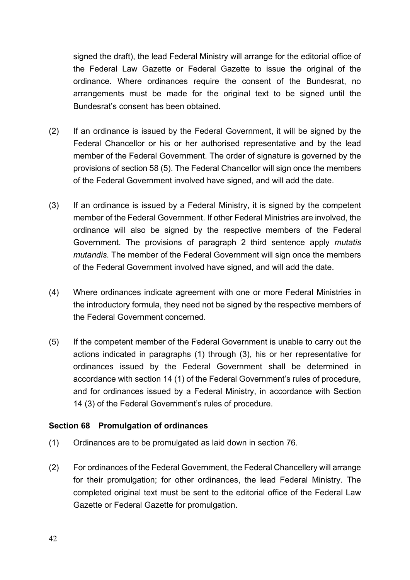<span id="page-41-0"></span>signed the draft), the lead Federal Ministry will arrange for the editorial office of the Federal Law Gazette or Federal Gazette to issue the original of the ordinance. Where ordinances require the consent of the Bundesrat, no arrangements must be made for the original text to be signed until the Bundesrat's consent has been obtained.

- (2) If an ordinance is issued by the Federal Government, it will be signed by the Federal Chancellor or his or her authorised representative and by the lead member of the Federal Government. The order of signature is governed by the provisions of section 58 (5). The Federal Chancellor will sign once the members of the Federal Government involved have signed, and will add the date.
- (3) If an ordinance is issued by a Federal Ministry, it is signed by the competent member of the Federal Government. If other Federal Ministries are involved, the ordinance will also be signed by the respective members of the Federal Government. The provisions of paragraph 2 third sentence apply *mutatis mutandis*. The member of the Federal Government will sign once the members of the Federal Government involved have signed, and will add the date.
- (4) Where ordinances indicate agreement with one or more Federal Ministries in the introductory formula, they need not be signed by the respective members of the Federal Government concerned.
- (5) If the competent member of the Federal Government is unable to carry out the actions indicated in paragraphs (1) through (3), his or her representative for ordinances issued by the Federal Government shall be determined in accordance with section 14 (1) of the Federal Government's rules of procedure, and for ordinances issued by a Federal Ministry, in accordance with Section 14 (3) of the Federal Government's rules of procedure.

#### **Section 68 Promulgation of ordinances**

- (1) Ordinances are to be promulgated as laid down in section 76.
- (2) For ordinances of the Federal Government, the Federal Chancellery will arrange for their promulgation; for other ordinances, the lead Federal Ministry. The completed original text must be sent to the editorial office of the Federal Law Gazette or Federal Gazette for promulgation.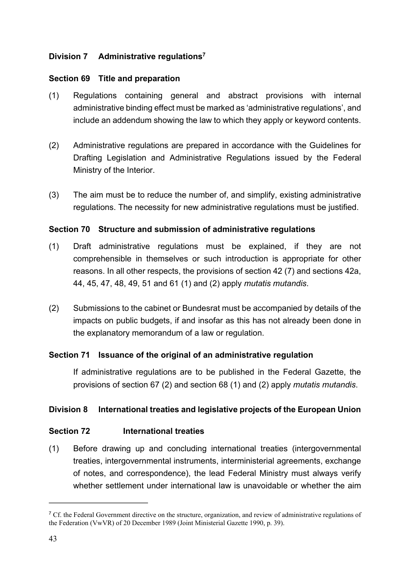## <span id="page-42-2"></span><span id="page-42-0"></span>**Division 7 Administrative regulations[7](#page-42-1)**

#### **Section 69 Title and preparation**

- (1) Regulations containing general and abstract provisions with internal administrative binding effect must be marked as 'administrative regulations', and include an addendum showing the law to which they apply or keyword contents.
- (2) Administrative regulations are prepared in accordance with the Guidelines for Drafting Legislation and Administrative Regulations issued by the Federal Ministry of the Interior.
- (3) The aim must be to reduce the number of, and simplify, existing administrative regulations. The necessity for new administrative regulations must be justified.

#### **Section 70 Structure and submission of administrative regulations**

- (1) Draft administrative regulations must be explained, if they are not comprehensible in themselves or such introduction is appropriate for other reasons. In all other respects, the provisions of section 42 (7) and sections 42a, 44, 45, 47, 48, 49, 51 and 61 (1) and (2) apply *mutatis mutandis*.
- (2) Submissions to the cabinet or Bundesrat must be accompanied by details of the impacts on public budgets, if and insofar as this has not already been done in the explanatory memorandum of a law or regulation.

### **Section 71 Issuance of the original of an administrative regulation**

 If administrative regulations are to be published in the Federal Gazette, the provisions of section 67 (2) and section 68 (1) and (2) apply *mutatis mutandis*.

### **Division 8 International treaties and legislative projects of the European Union**

### **Section 72 International treaties**

(1) Before drawing up and concluding international treaties (intergovernmental treaties, intergovernmental instruments, interministerial agreements, exchange of notes, and correspondence), the lead Federal Ministry must always verify whether settlement under international law is unavoidable or whether the aim

<span id="page-42-1"></span><sup>&</sup>lt;sup>[7](#page-42-2)</sup> Cf. the Federal Government directive on the structure, organization, and review of administrative regulations of the Federation (VwVR) of 20 December 1989 (Joint Ministerial Gazette 1990, p. 39).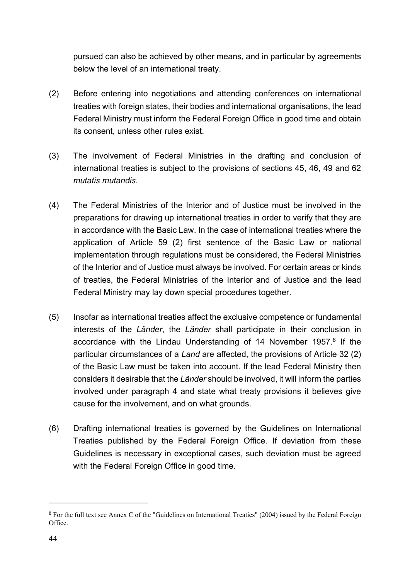pursued can also be achieved by other means, and in particular by agreements below the level of an international treaty.

- (2) Before entering into negotiations and attending conferences on international treaties with foreign states, their bodies and international organisations, the lead Federal Ministry must inform the Federal Foreign Office in good time and obtain its consent, unless other rules exist.
- (3) The involvement of Federal Ministries in the drafting and conclusion of international treaties is subject to the provisions of sections 45, 46, 49 and 62 *mutatis mutandis*.
- (4) The Federal Ministries of the Interior and of Justice must be involved in the preparations for drawing up international treaties in order to verify that they are in accordance with the Basic Law. In the case of international treaties where the application of Article 59 (2) first sentence of the Basic Law or national implementation through regulations must be considered, the Federal Ministries of the Interior and of Justice must always be involved. For certain areas or kinds of treaties, the Federal Ministries of the Interior and of Justice and the lead Federal Ministry may lay down special procedures together.
- <span id="page-43-1"></span>(5) Insofar as international treaties affect the exclusive competence or fundamental interests of the *Länder*, the *Länder* shall participate in their conclusion in accordance with the Lindau Understanding of 14 November 1957.<sup>[8](#page-43-0)</sup> If the particular circumstances of a *Land* are affected, the provisions of Article 32 (2) of the Basic Law must be taken into account. If the lead Federal Ministry then considers it desirable that the *Länder* should be involved, it will inform the parties involved under paragraph 4 and state what treaty provisions it believes give cause for the involvement, and on what grounds.
- (6) Drafting international treaties is governed by the Guidelines on International Treaties published by the Federal Foreign Office. If deviation from these Guidelines is necessary in exceptional cases, such deviation must be agreed with the Federal Foreign Office in good time.

<span id="page-43-0"></span><sup>&</sup>lt;sup>[8](#page-43-1)</sup> For the full text see Annex C of the "Guidelines on International Treaties" (2004) issued by the Federal Foreign Office.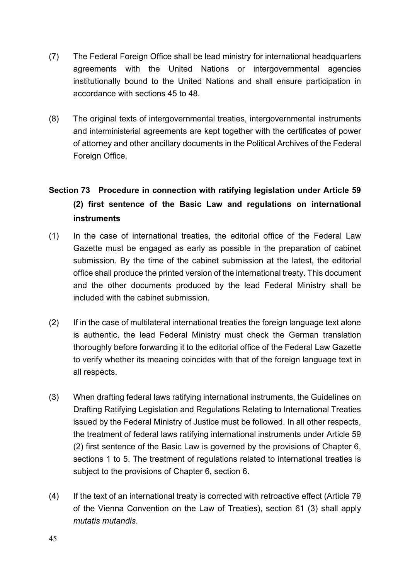- <span id="page-44-0"></span>(7) The Federal Foreign Office shall be lead ministry for international headquarters agreements with the United Nations or intergovernmental agencies institutionally bound to the United Nations and shall ensure participation in accordance with sections 45 to 48.
- (8) The original texts of intergovernmental treaties, intergovernmental instruments and interministerial agreements are kept together with the certificates of power of attorney and other ancillary documents in the Political Archives of the Federal Foreign Office.

# **Section 73 Procedure in connection with ratifying legislation under Article 59 (2) first sentence of the Basic Law and regulations on international instruments**

- (1) In the case of international treaties, the editorial office of the Federal Law Gazette must be engaged as early as possible in the preparation of cabinet submission. By the time of the cabinet submission at the latest, the editorial office shall produce the printed version of the international treaty. This document and the other documents produced by the lead Federal Ministry shall be included with the cabinet submission.
- (2) If in the case of multilateral international treaties the foreign language text alone is authentic, the lead Federal Ministry must check the German translation thoroughly before forwarding it to the editorial office of the Federal Law Gazette to verify whether its meaning coincides with that of the foreign language text in all respects.
- (3) When drafting federal laws ratifying international instruments, the Guidelines on Drafting Ratifying Legislation and Regulations Relating to International Treaties issued by the Federal Ministry of Justice must be followed. In all other respects, the treatment of federal laws ratifying international instruments under Article 59 (2) first sentence of the Basic Law is governed by the provisions of Chapter 6, sections 1 to 5. The treatment of regulations related to international treaties is subject to the provisions of Chapter 6, section 6.
- (4) If the text of an international treaty is corrected with retroactive effect (Article 79 of the Vienna Convention on the Law of Treaties), section 61 (3) shall apply *mutatis mutandis*.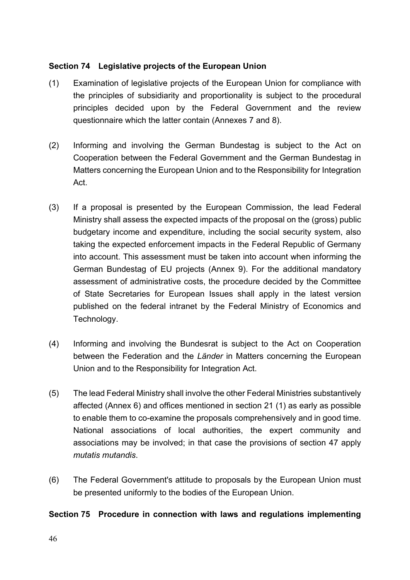## <span id="page-45-0"></span>**Section 74 Legislative projects of the European Union**

- (1) Examination of legislative projects of the European Union for compliance with the principles of subsidiarity and proportionality is subject to the procedural principles decided upon by the Federal Government and the review questionnaire which the latter contain (Annexes 7 and 8).
- (2) Informing and involving the German Bundestag is subject to the Act on Cooperation between the Federal Government and the German Bundestag in Matters concerning the European Union and to the Responsibility for Integration Act.
- (3) If a proposal is presented by the European Commission, the lead Federal Ministry shall assess the expected impacts of the proposal on the (gross) public budgetary income and expenditure, including the social security system, also taking the expected enforcement impacts in the Federal Republic of Germany into account. This assessment must be taken into account when informing the German Bundestag of EU projects (Annex 9). For the additional mandatory assessment of administrative costs, the procedure decided by the Committee of State Secretaries for European Issues shall apply in the latest version published on the federal intranet by the Federal Ministry of Economics and Technology.
- (4) Informing and involving the Bundesrat is subject to the Act on Cooperation between the Federation and the *Länder* in Matters concerning the European Union and to the Responsibility for Integration Act.
- (5) The lead Federal Ministry shall involve the other Federal Ministries substantively affected (Annex 6) and offices mentioned in section 21 (1) as early as possible to enable them to co-examine the proposals comprehensively and in good time. National associations of local authorities, the expert community and associations may be involved; in that case the provisions of section 47 apply *mutatis mutandis*.
- (6) The Federal Government's attitude to proposals by the European Union must be presented uniformly to the bodies of the European Union.

### **Section 75 Procedure in connection with laws and regulations implementing**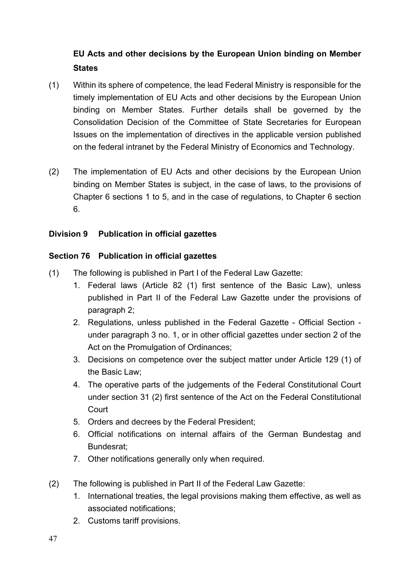# <span id="page-46-0"></span>**EU Acts and other decisions by the European Union binding on Member States**

- (1) Within its sphere of competence, the lead Federal Ministry is responsible for the timely implementation of EU Acts and other decisions by the European Union binding on Member States. Further details shall be governed by the Consolidation Decision of the Committee of State Secretaries for European Issues on the implementation of directives in the applicable version published on the federal intranet by the Federal Ministry of Economics and Technology.
- (2) The implementation of EU Acts and other decisions by the European Union binding on Member States is subject, in the case of laws, to the provisions of Chapter 6 sections 1 to 5, and in the case of regulations, to Chapter 6 section 6.

### **Division 9 Publication in official gazettes**

# **Section 76 Publication in official gazettes**

- (1) The following is published in Part I of the Federal Law Gazette:
	- 1. Federal laws (Article 82 (1) first sentence of the Basic Law), unless published in Part II of the Federal Law Gazette under the provisions of paragraph 2;
	- 2. Regulations, unless published in the Federal Gazette Official Section under paragraph 3 no. 1, or in other official gazettes under section 2 of the Act on the Promulgation of Ordinances;
	- 3. Decisions on competence over the subject matter under Article 129 (1) of the Basic Law;
	- 4. The operative parts of the judgements of the Federal Constitutional Court under section 31 (2) first sentence of the Act on the Federal Constitutional **Court**
	- 5. Orders and decrees by the Federal President;
	- 6. Official notifications on internal affairs of the German Bundestag and Bundesrat;
	- 7. Other notifications generally only when required.
- (2) The following is published in Part II of the Federal Law Gazette:
	- 1. International treaties, the legal provisions making them effective, as well as associated notifications;
	- 2. Customs tariff provisions.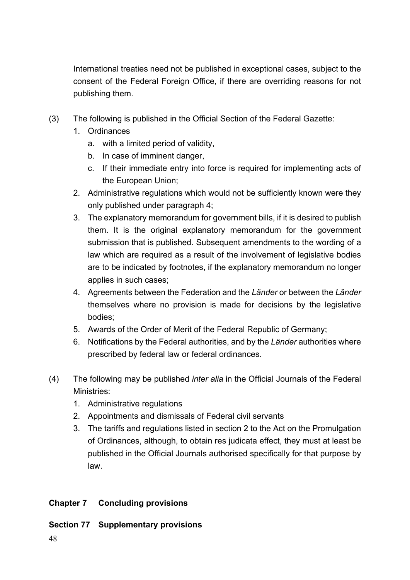<span id="page-47-0"></span> International treaties need not be published in exceptional cases, subject to the consent of the Federal Foreign Office, if there are overriding reasons for not publishing them.

- (3) The following is published in the Official Section of the Federal Gazette:
	- 1. Ordinances
		- a. with a limited period of validity,
		- b. In case of imminent danger,
		- c. If their immediate entry into force is required for implementing acts of the European Union;
	- 2. Administrative regulations which would not be sufficiently known were they only published under paragraph 4;
	- 3. The explanatory memorandum for government bills, if it is desired to publish them. It is the original explanatory memorandum for the government submission that is published. Subsequent amendments to the wording of a law which are required as a result of the involvement of legislative bodies are to be indicated by footnotes, if the explanatory memorandum no longer applies in such cases;
	- 4. Agreements between the Federation and the *Länder* or between the *Länder*  themselves where no provision is made for decisions by the legislative bodies;
	- 5. Awards of the Order of Merit of the Federal Republic of Germany;
	- 6. Notifications by the Federal authorities, and by the *Länder* authorities where prescribed by federal law or federal ordinances.
- (4) The following may be published *inter alia* in the Official Journals of the Federal Ministries:
	- 1. Administrative regulations
	- 2. Appointments and dismissals of Federal civil servants
	- 3. The tariffs and regulations listed in section 2 to the Act on the Promulgation of Ordinances, although, to obtain res judicata effect, they must at least be published in the Official Journals authorised specifically for that purpose by law.

# **Chapter 7 Concluding provisions**

# **Section 77 Supplementary provisions**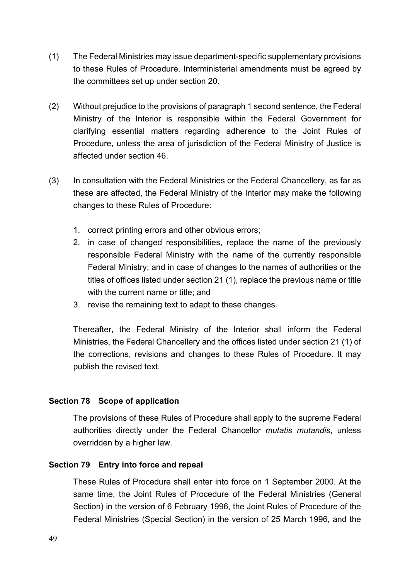- <span id="page-48-0"></span>(1) The Federal Ministries may issue department-specific supplementary provisions to these Rules of Procedure. Interministerial amendments must be agreed by the committees set up under section 20.
- (2) Without prejudice to the provisions of paragraph 1 second sentence, the Federal Ministry of the Interior is responsible within the Federal Government for clarifying essential matters regarding adherence to the Joint Rules of Procedure, unless the area of jurisdiction of the Federal Ministry of Justice is affected under section 46.
- (3) In consultation with the Federal Ministries or the Federal Chancellery, as far as these are affected, the Federal Ministry of the Interior may make the following changes to these Rules of Procedure:
	- 1. correct printing errors and other obvious errors;
	- 2. in case of changed responsibilities, replace the name of the previously responsible Federal Ministry with the name of the currently responsible Federal Ministry; and in case of changes to the names of authorities or the titles of offices listed under section 21 (1), replace the previous name or title with the current name or title; and
	- 3. revise the remaining text to adapt to these changes.

Thereafter, the Federal Ministry of the Interior shall inform the Federal Ministries, the Federal Chancellery and the offices listed under section 21 (1) of the corrections, revisions and changes to these Rules of Procedure. It may publish the revised text.

### **Section 78 Scope of application**

 The provisions of these Rules of Procedure shall apply to the supreme Federal authorities directly under the Federal Chancellor *mutatis mutandis*, unless overridden by a higher law.

#### **Section 79 Entry into force and repeal**

 These Rules of Procedure shall enter into force on 1 September 2000. At the same time, the Joint Rules of Procedure of the Federal Ministries (General Section) in the version of 6 February 1996, the Joint Rules of Procedure of the Federal Ministries (Special Section) in the version of 25 March 1996, and the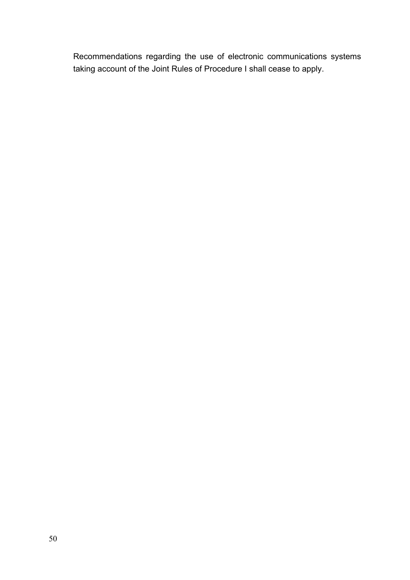Recommendations regarding the use of electronic communications systems taking account of the Joint Rules of Procedure I shall cease to apply.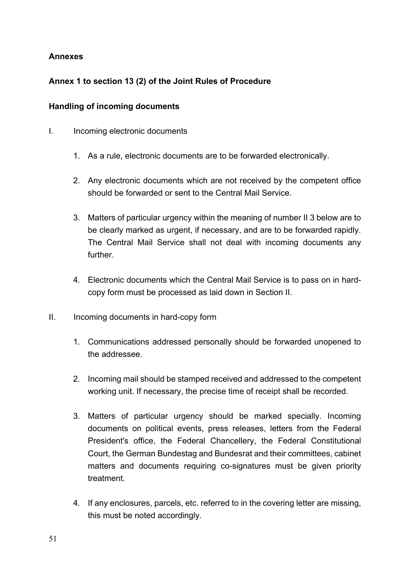# <span id="page-50-0"></span>**Annexes**

# **Annex 1 to section 13 (2) of the Joint Rules of Procedure**

## **Handling of incoming documents**

- I. Incoming electronic documents
	- 1. As a rule, electronic documents are to be forwarded electronically.
	- 2. Any electronic documents which are not received by the competent office should be forwarded or sent to the Central Mail Service.
	- 3. Matters of particular urgency within the meaning of number II 3 below are to be clearly marked as urgent, if necessary, and are to be forwarded rapidly. The Central Mail Service shall not deal with incoming documents any further.
	- 4. Electronic documents which the Central Mail Service is to pass on in hardcopy form must be processed as laid down in Section II.
- II. Incoming documents in hard-copy form
	- 1. Communications addressed personally should be forwarded unopened to the addressee.
	- 2. Incoming mail should be stamped received and addressed to the competent working unit. If necessary, the precise time of receipt shall be recorded.
	- 3. Matters of particular urgency should be marked specially. Incoming documents on political events, press releases, letters from the Federal President's office, the Federal Chancellery, the Federal Constitutional Court, the German Bundestag and Bundesrat and their committees, cabinet matters and documents requiring co-signatures must be given priority treatment.
	- 4. If any enclosures, parcels, etc. referred to in the covering letter are missing, this must be noted accordingly.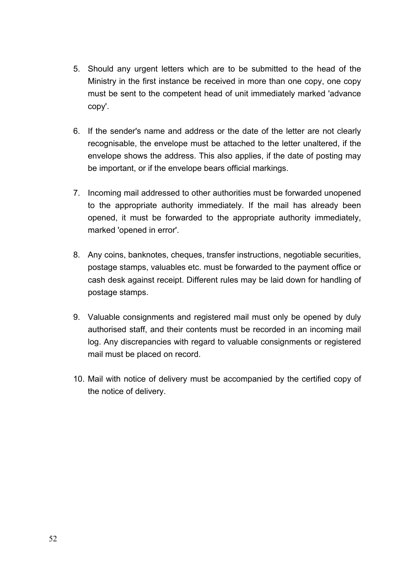- 5. Should any urgent letters which are to be submitted to the head of the Ministry in the first instance be received in more than one copy, one copy must be sent to the competent head of unit immediately marked 'advance copy'.
- 6. If the sender's name and address or the date of the letter are not clearly recognisable, the envelope must be attached to the letter unaltered, if the envelope shows the address. This also applies, if the date of posting may be important, or if the envelope bears official markings.
- 7. Incoming mail addressed to other authorities must be forwarded unopened to the appropriate authority immediately. If the mail has already been opened, it must be forwarded to the appropriate authority immediately, marked 'opened in error'.
- 8. Any coins, banknotes, cheques, transfer instructions, negotiable securities, postage stamps, valuables etc. must be forwarded to the payment office or cash desk against receipt. Different rules may be laid down for handling of postage stamps.
- 9. Valuable consignments and registered mail must only be opened by duly authorised staff, and their contents must be recorded in an incoming mail log. Any discrepancies with regard to valuable consignments or registered mail must be placed on record.
- 10. Mail with notice of delivery must be accompanied by the certified copy of the notice of delivery.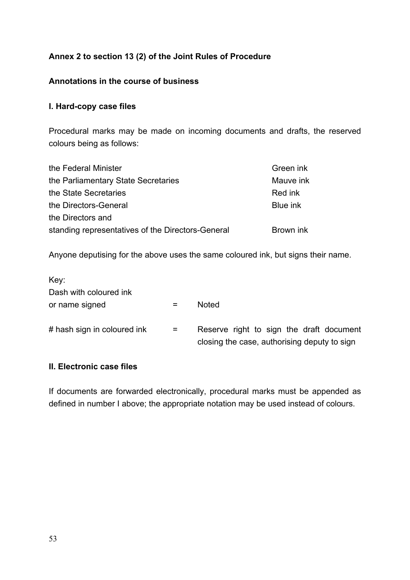# <span id="page-52-0"></span>**Annex 2 to section 13 (2) of the Joint Rules of Procedure**

#### **Annotations in the course of business**

#### **I. Hard-copy case files**

Procedural marks may be made on incoming documents and drafts, the reserved colours being as follows:

| the Federal Minister                              | Green ink       |
|---------------------------------------------------|-----------------|
| the Parliamentary State Secretaries               | Mauve ink       |
| the State Secretaries                             | Red ink         |
| the Directors-General                             | <b>Blue ink</b> |
| the Directors and                                 |                 |
| standing representatives of the Directors-General | Brown ink       |

Anyone deputising for the above uses the same coloured ink, but signs their name.

| Key:                        |     |                                                                                          |
|-----------------------------|-----|------------------------------------------------------------------------------------------|
| Dash with coloured ink      |     |                                                                                          |
| or name signed              |     | <b>Noted</b>                                                                             |
| # hash sign in coloured ink | $=$ | Reserve right to sign the draft document<br>closing the case, authorising deputy to sign |

# **II. Electronic case files**

If documents are forwarded electronically, procedural marks must be appended as defined in number I above; the appropriate notation may be used instead of colours.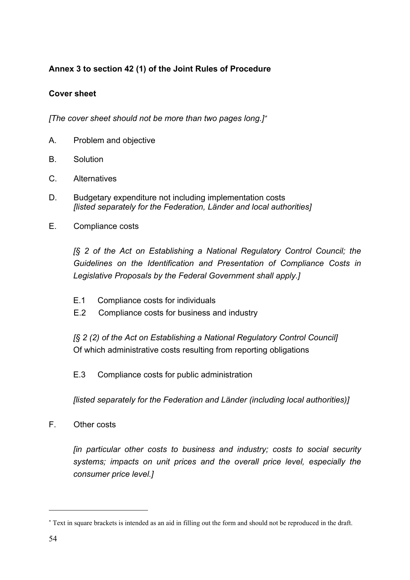# <span id="page-53-0"></span>**Annex 3 to section 42 (1) of the Joint Rules of Procedure**

# **Cover sheet**

<span id="page-53-2"></span>*[The cover sheet should not be more than two pages long.]*[\\*](#page-53-1)

- A. Problem and objective
- B. Solution
- C. Alternatives
- D. Budgetary expenditure not including implementation costs *[listed separately for the Federation, Länder and local authorities]*
- E. Compliance costs

*[§ 2 of the Act on Establishing a National Regulatory Control Council; the Guidelines on the Identification and Presentation of Compliance Costs in Legislative Proposals by the Federal Government shall apply.]* 

- E.1 Compliance costs for individuals
- E.2 Compliance costs for business and industry

*[§ 2 (2) of the Act on Establishing a National Regulatory Control Council]*  Of which administrative costs resulting from reporting obligations

E.3 Compliance costs for public administration

*[listed separately for the Federation and Länder (including local authorities)]* 

F. Other costs

*[in particular other costs to business and industry; costs to social security systems; impacts on unit prices and the overall price level, especially the consumer price level.]* 

<span id="page-53-1"></span>[<sup>\\*</sup>](#page-53-2) Text in square brackets is intended as an aid in filling out the form and should not be reproduced in the draft.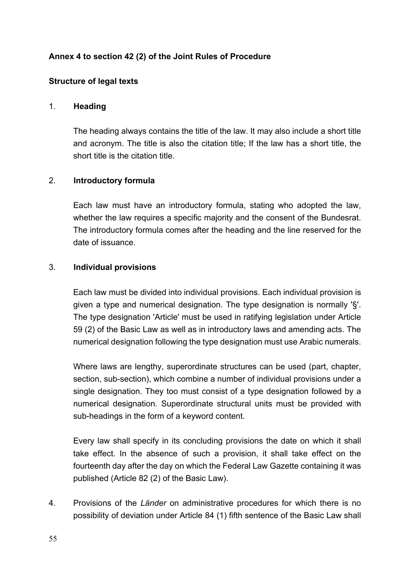# **Annex 4 to section 42 (2) of the Joint Rules of Procedure**

### **Structure of legal texts**

#### 1. **Heading**

 The heading always contains the title of the law. It may also include a short title and acronym. The title is also the citation title; If the law has a short title, the short title is the citation title.

### 2. **Introductory formula**

 Each law must have an introductory formula, stating who adopted the law, whether the law requires a specific majority and the consent of the Bundesrat. The introductory formula comes after the heading and the line reserved for the date of issuance.

#### 3. **Individual provisions**

 Each law must be divided into individual provisions. Each individual provision is given a type and numerical designation. The type designation is normally '§'. The type designation 'Article' must be used in ratifying legislation under Article 59 (2) of the Basic Law as well as in introductory laws and amending acts. The numerical designation following the type designation must use Arabic numerals.

Where laws are lengthy, superordinate structures can be used (part, chapter, section, sub-section), which combine a number of individual provisions under a single designation. They too must consist of a type designation followed by a numerical designation. Superordinate structural units must be provided with sub-headings in the form of a keyword content.

 Every law shall specify in its concluding provisions the date on which it shall take effect. In the absence of such a provision, it shall take effect on the fourteenth day after the day on which the Federal Law Gazette containing it was published (Article 82 (2) of the Basic Law).

4. Provisions of the *Länder* on administrative procedures for which there is no possibility of deviation under Article 84 (1) fifth sentence of the Basic Law shall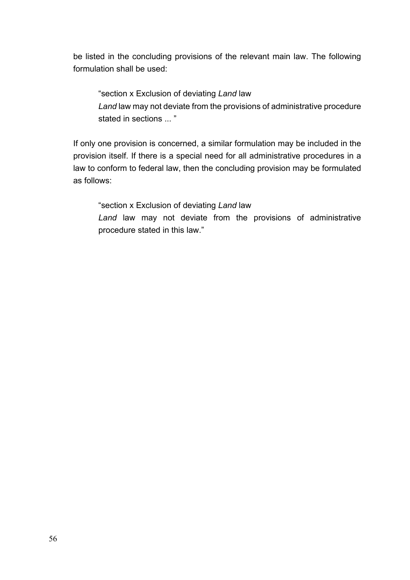be listed in the concluding provisions of the relevant main law. The following formulation shall be used:

 "section x Exclusion of deviating *Land* law *Land* law may not deviate from the provisions of administrative procedure stated in sections  $\dddot{ }$  "

 If only one provision is concerned, a similar formulation may be included in the provision itself. If there is a special need for all administrative procedures in a law to conform to federal law, then the concluding provision may be formulated as follows:

"section x Exclusion of deviating *Land* law

*Land* law may not deviate from the provisions of administrative procedure stated in this law."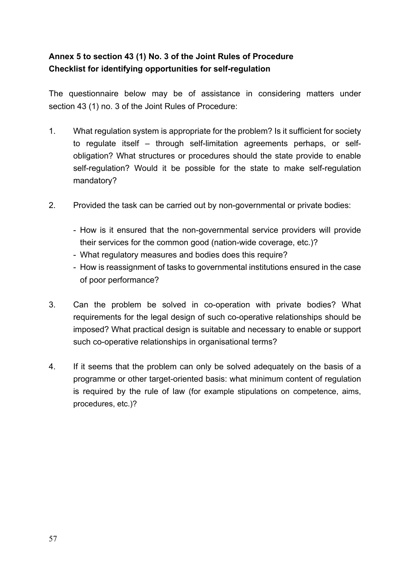# <span id="page-56-0"></span>**Annex 5 to section 43 (1) No. 3 of the Joint Rules of Procedure Checklist for identifying opportunities for self-regulation**

The questionnaire below may be of assistance in considering matters under section 43 (1) no. 3 of the Joint Rules of Procedure:

- 1. What regulation system is appropriate for the problem? Is it sufficient for society to regulate itself – through self-limitation agreements perhaps, or selfobligation? What structures or procedures should the state provide to enable self-regulation? Would it be possible for the state to make self-regulation mandatory?
- 2. Provided the task can be carried out by non-governmental or private bodies:
	- How is it ensured that the non-governmental service providers will provide their services for the common good (nation-wide coverage, etc.)?
	- What regulatory measures and bodies does this require?
	- How is reassignment of tasks to governmental institutions ensured in the case of poor performance?
- 3. Can the problem be solved in co-operation with private bodies? What requirements for the legal design of such co-operative relationships should be imposed? What practical design is suitable and necessary to enable or support such co-operative relationships in organisational terms?
- 4. If it seems that the problem can only be solved adequately on the basis of a programme or other target-oriented basis: what minimum content of regulation is required by the rule of law (for example stipulations on competence, aims, procedures, etc.)?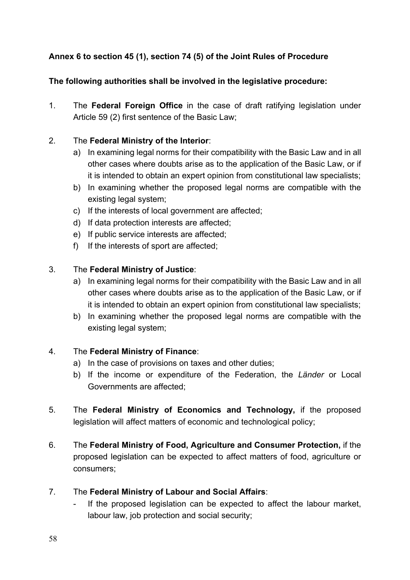# <span id="page-57-0"></span>**Annex 6 to section 45 (1), section 74 (5) of the Joint Rules of Procedure**

# **The following authorities shall be involved in the legislative procedure:**

1. The **Federal Foreign Office** in the case of draft ratifying legislation under Article 59 (2) first sentence of the Basic Law;

### 2. The **Federal Ministry of the Interior**:

- a) In examining legal norms for their compatibility with the Basic Law and in all other cases where doubts arise as to the application of the Basic Law, or if it is intended to obtain an expert opinion from constitutional law specialists;
- b) In examining whether the proposed legal norms are compatible with the existing legal system;
- c) If the interests of local government are affected;
- d) If data protection interests are affected;
- e) If public service interests are affected;
- f) If the interests of sport are affected;

# 3. The **Federal Ministry of Justice**:

- a) In examining legal norms for their compatibility with the Basic Law and in all other cases where doubts arise as to the application of the Basic Law, or if it is intended to obtain an expert opinion from constitutional law specialists;
- b) In examining whether the proposed legal norms are compatible with the existing legal system;

### 4. The **Federal Ministry of Finance**:

- a) In the case of provisions on taxes and other duties;
- b) If the income or expenditure of the Federation, the *Länder* or Local Governments are affected;
- 5. The **Federal Ministry of Economics and Technology,** if the proposed legislation will affect matters of economic and technological policy;
- 6. The **Federal Ministry of Food, Agriculture and Consumer Protection,** if the proposed legislation can be expected to affect matters of food, agriculture or consumers;
- 7. The **Federal Ministry of Labour and Social Affairs**:
	- If the proposed legislation can be expected to affect the labour market, labour law, job protection and social security;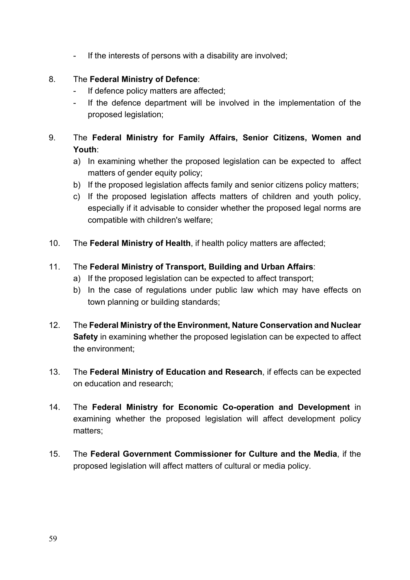- If the interests of persons with a disability are involved;

# 8. The **Federal Ministry of Defence**:

- If defence policy matters are affected;
- If the defence department will be involved in the implementation of the proposed legislation;

# 9. The **Federal Ministry for Family Affairs, Senior Citizens, Women and Youth**:

- a) In examining whether the proposed legislation can be expected to affect matters of gender equity policy;
- b) If the proposed legislation affects family and senior citizens policy matters;
- c) If the proposed legislation affects matters of children and youth policy, especially if it advisable to consider whether the proposed legal norms are compatible with children's welfare;
- 10. The **Federal Ministry of Health**, if health policy matters are affected;

# 11. The **Federal Ministry of Transport, Building and Urban Affairs**:

- a) If the proposed legislation can be expected to affect transport;
- b) In the case of regulations under public law which may have effects on town planning or building standards;
- 12. The **Federal Ministry of the Environment, Nature Conservation and Nuclear Safety** in examining whether the proposed legislation can be expected to affect the environment;
- 13. The **Federal Ministry of Education and Research**, if effects can be expected on education and research;
- 14. The **Federal Ministry for Economic Co-operation and Development** in examining whether the proposed legislation will affect development policy matters;
- 15. The **Federal Government Commissioner for Culture and the Media**, if the proposed legislation will affect matters of cultural or media policy.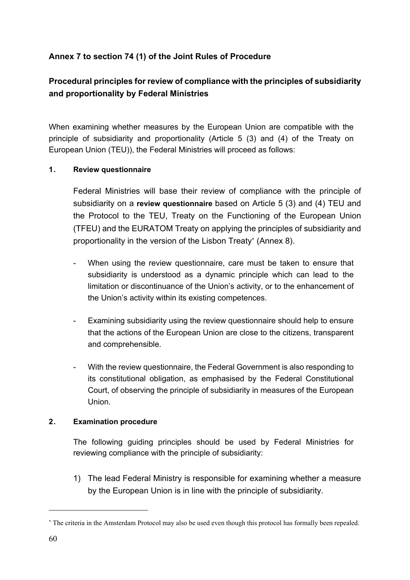# <span id="page-59-0"></span>**Annex 7 to section 74 (1) of the Joint Rules of Procedure**

# **Procedural principles for review of compliance with the principles of subsidiarity and proportionality by Federal Ministries**

When examining whether measures by the European Union are compatible with the principle of subsidiarity and proportionality (Article 5 (3) and (4) of the Treaty on European Union (TEU)), the Federal Ministries will proceed as follows:

#### **1. Review questionnaire**

 Federal Ministries will base their review of compliance with the principle of subsidiarity on a **review questionnaire** based on Article 5 (3) and (4) TEU and the Protocol to the TEU, Treaty on the Functioning of the European Union (TFEU) and the EURATOM Treaty on applying the principles of subsidiarity and proportionality in the version of the Lisbon Treaty[\\*](#page-59-1) (Annex 8).

- <span id="page-59-2"></span>When using the review questionnaire, care must be taken to ensure that subsidiarity is understood as a dynamic principle which can lead to the limitation or discontinuance of the Union's activity, or to the enhancement of the Union's activity within its existing competences.
- Examining subsidiarity using the review questionnaire should help to ensure that the actions of the European Union are close to the citizens, transparent and comprehensible.
- With the review questionnaire, the Federal Government is also responding to its constitutional obligation, as emphasised by the Federal Constitutional Court, of observing the principle of subsidiarity in measures of the European Union.

#### **2. Examination procedure**

The following guiding principles should be used by Federal Ministries for reviewing compliance with the principle of subsidiarity:

1) The lead Federal Ministry is responsible for examining whether a measure by the European Union is in line with the principle of subsidiarity.

<span id="page-59-1"></span>[<sup>\\*</sup>](#page-59-2) The criteria in the Amsterdam Protocol may also be used even though this protocol has formally been repealed.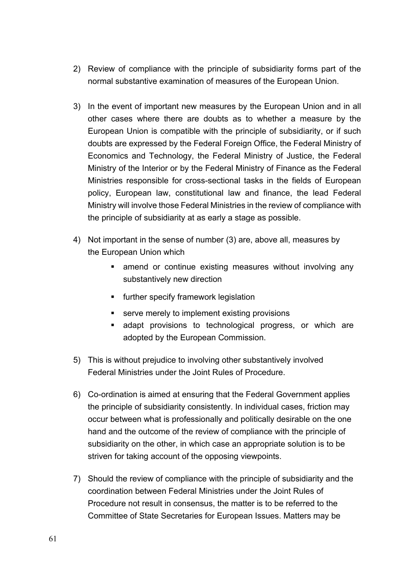- 2) Review of compliance with the principle of subsidiarity forms part of the normal substantive examination of measures of the European Union.
- 3) In the event of important new measures by the European Union and in all other cases where there are doubts as to whether a measure by the European Union is compatible with the principle of subsidiarity, or if such doubts are expressed by the Federal Foreign Office, the Federal Ministry of Economics and Technology, the Federal Ministry of Justice, the Federal Ministry of the Interior or by the Federal Ministry of Finance as the Federal Ministries responsible for cross-sectional tasks in the fields of European policy, European law, constitutional law and finance, the lead Federal Ministry will involve those Federal Ministries in the review of compliance with the principle of subsidiarity at as early a stage as possible.
- 4) Not important in the sense of number (3) are, above all, measures by the European Union which
	- amend or continue existing measures without involving any substantively new direction
	- **EXECT:** further specify framework legislation
	- serve merely to implement existing provisions
	- adapt provisions to technological progress, or which are adopted by the European Commission.
- 5) This is without prejudice to involving other substantively involved Federal Ministries under the Joint Rules of Procedure.
- 6) Co-ordination is aimed at ensuring that the Federal Government applies the principle of subsidiarity consistently. In individual cases, friction may occur between what is professionally and politically desirable on the one hand and the outcome of the review of compliance with the principle of subsidiarity on the other, in which case an appropriate solution is to be striven for taking account of the opposing viewpoints.
- 7) Should the review of compliance with the principle of subsidiarity and the coordination between Federal Ministries under the Joint Rules of Procedure not result in consensus, the matter is to be referred to the Committee of State Secretaries for European Issues. Matters may be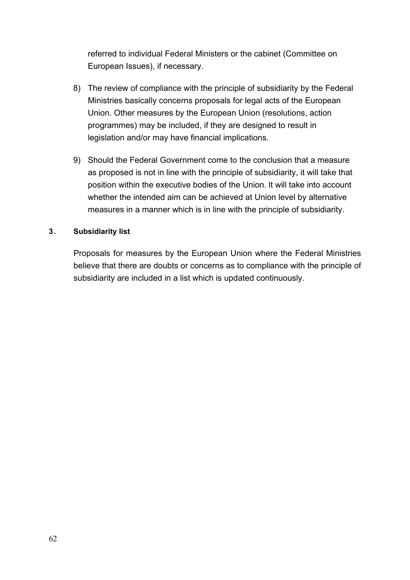referred to individual Federal Ministers or the cabinet (Committee on European Issues), if necessary.

- 8) The review of compliance with the principle of subsidiarity by the Federal Ministries basically concerns proposals for legal acts of the European Union. Other measures by the European Union (resolutions, action programmes) may be included, if they are designed to result in legislation and/or may have financial implications.
- 9) Should the Federal Government come to the conclusion that a measure as proposed is not in line with the principle of subsidiarity, it will take that position within the executive bodies of the Union. lt will take into account whether the intended aim can be achieved at Union level by alternative measures in a manner which is in line with the principle of subsidiarity.

#### **3. Subsidiarity list**

Proposals for measures by the European Union where the Federal Ministries believe that there are doubts or concerns as to compliance with the principle of subsidiarity are included in a list which is updated continuously.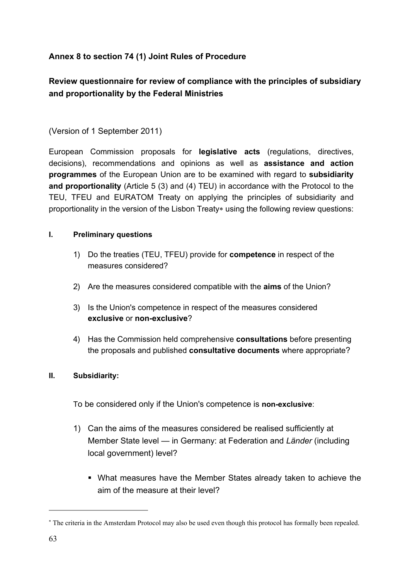# <span id="page-62-0"></span>**Annex 8 to section 74 (1) Joint Rules of Procedure**

# **Review questionnaire for review of compliance with the principles of subsidiary and proportionality by the Federal Ministries**

### (Version of 1 September 2011)

European Commission proposals for **legislative acts** (regulations, directives, decisions), recommendations and opinions as well as **assistance and action programmes** of the European Union are to be examined with regard to **subsidiarity and proportionality** (Article 5 (3) and (4) TEU) in accordance with the Protocol to the TEU, TFEU and EURATOM Treaty on applying the principles of subsidiarity and proportionality in the version of the Lisbon Treaty[\\*](#page-62-1) using the following review questions:

#### **I. Preliminary questions**

- <span id="page-62-2"></span>1) Do the treaties (TEU, TFEU) provide for **competence** in respect of the measures considered?
- 2) Are the measures considered compatible with the **aims** of the Union?
- 3) Is the Union's competence in respect of the measures considered **exclusive** or **non-exclusive**?
- 4) Has the Commission held comprehensive **consultations** before presenting the proposals and published **consultative documents** where appropriate?

#### **II. Subsidiarity:**

To be considered only if the Union's competence is **non-exclusive**:

- 1) Can the aims of the measures considered be realised sufficiently at Member State level — in Germany: at Federation and *Länder* (including local government) level?
	- What measures have the Member States already taken to achieve the aim of the measure at their level?

<span id="page-62-1"></span>[<sup>\\*</sup>](#page-62-2) The criteria in the Amsterdam Protocol may also be used even though this protocol has formally been repealed.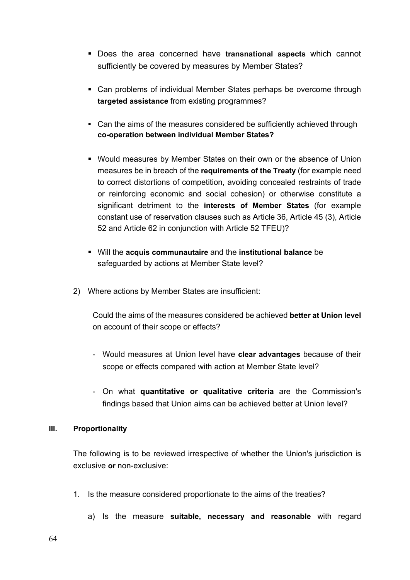- Does the area concerned have **transnational aspects** which cannot sufficiently be covered by measures by Member States?
- Can problems of individual Member States perhaps be overcome through **targeted assistance** from existing programmes?
- Can the aims of the measures considered be sufficiently achieved through **co-operation between individual Member States?**
- Would measures by Member States on their own or the absence of Union measures be in breach of the **requirements of the Treaty** (for example need to correct distortions of competition, avoiding concealed restraints of trade or reinforcing economic and social cohesion) or otherwise constitute a significant detriment to the **interests of Member States** (for example constant use of reservation clauses such as Article 36, Article 45 (3), Article 52 and Article 62 in conjunction with Article 52 TFEU)?
- Will the **acquis communautaire** and the **institutional balance** be safeguarded by actions at Member State level?
- 2) Where actions by Member States are insufficient:

Could the aims of the measures considered be achieved **better at Union level**  on account of their scope or effects?

- Would measures at Union level have **clear advantages** because of their scope or effects compared with action at Member State level?
- On what **quantitative or qualitative criteria** are the Commission's findings based that Union aims can be achieved better at Union level?

#### **III. Proportionality**

The following is to be reviewed irrespective of whether the Union's jurisdiction is exclusive **or** non-exclusive:

- 1. Is the measure considered proportionate to the aims of the treaties?
	- a) Is the measure **suitable, necessary and reasonable** with regard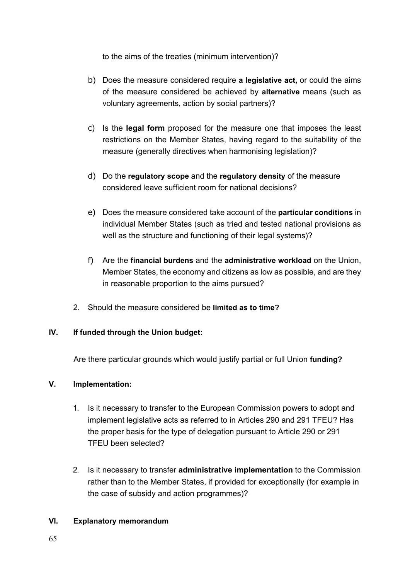to the aims of the treaties (minimum intervention)?

- b) Does the measure considered require **a legislative act,** or could the aims of the measure considered be achieved by **alternative** means (such as voluntary agreements, action by social partners)?
- c) Is the **legal form** proposed for the measure one that imposes the least restrictions on the Member States, having regard to the suitability of the measure (generally directives when harmonising legislation)?
- d) Do the **regulatory scope** and the **regulatory density** of the measure considered leave sufficient room for national decisions?
- e) Does the measure considered take account of the **particular conditions** in individual Member States (such as tried and tested national provisions as well as the structure and functioning of their legal systems)?
- f) Are the **financial burdens** and the **administrative workload** on the Union, Member States, the economy and citizens as low as possible, and are they in reasonable proportion to the aims pursued?
- 2. Should the measure considered be **limited as to time?**

### **IV. If funded through the Union budget:**

Are there particular grounds which would justify partial or full Union **funding?** 

### **V. Implementation:**

- 1. Is it necessary to transfer to the European Commission powers to adopt and implement legislative acts as referred to in Articles 290 and 291 TFEU? Has the proper basis for the type of delegation pursuant to Article 290 or 291 TFEU been selected?
- 2. Is it necessary to transfer **administrative implementation** to the Commission rather than to the Member States, if provided for exceptionally (for example in the case of subsidy and action programmes)?

### **VI. Explanatory memorandum**